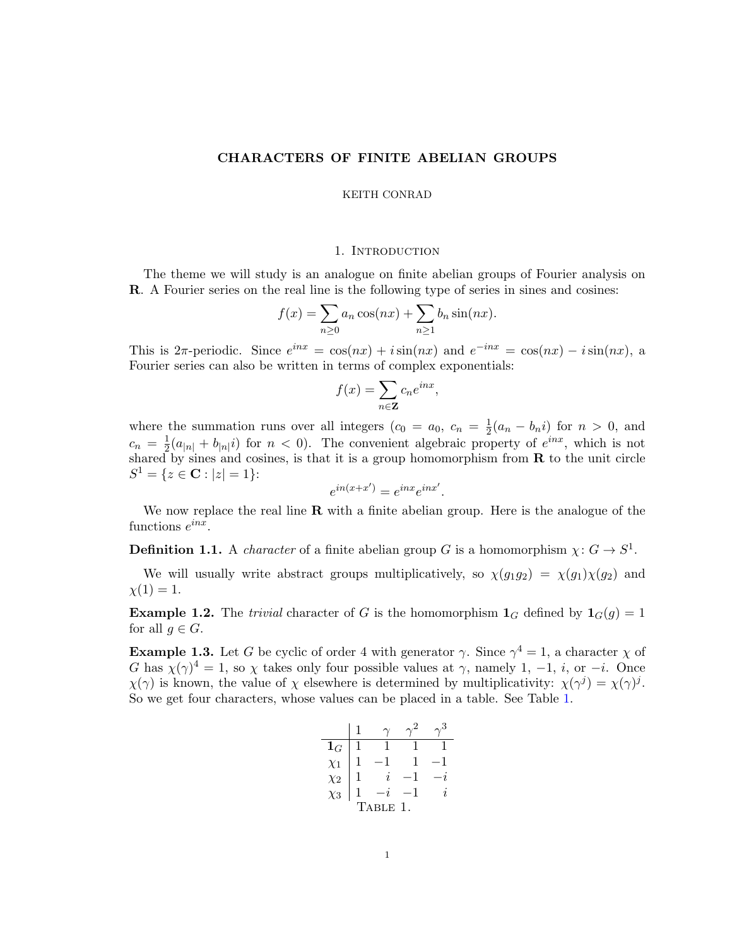# CHARACTERS OF FINITE ABELIAN GROUPS

#### KEITH CONRAD

#### 1. INTRODUCTION

The theme we will study is an analogue on finite abelian groups of Fourier analysis on R. A Fourier series on the real line is the following type of series in sines and cosines:

$$
f(x) = \sum_{n\geq 0} a_n \cos(nx) + \sum_{n\geq 1} b_n \sin(nx).
$$

This is  $2\pi$ -periodic. Since  $e^{inx} = \cos(nx) + i\sin(nx)$  and  $e^{-inx} = \cos(nx) - i\sin(nx)$ , a Fourier series can also be written in terms of complex exponentials:

$$
f(x) = \sum_{n \in \mathbf{Z}} c_n e^{inx},
$$

where the summation runs over all integers  $(c_0 = a_0, c_n = \frac{1}{2}(a_n - b_n i)$  for  $n > 0$ , and 2  $c_n = \frac{1}{2}$  $\frac{1}{2}(a_{|n|} + b_{|n|}i)$  for  $n < 0$ ). The convenient algebraic property of  $e^{inx}$ , which is not shared by sines and cosines, is that it is a group homomorphism from  $\bf{R}$  to the unit circle  $S^1 = \{z \in \mathbf{C} : |z| = 1\}$ :

$$
e^{in(x+x')} = e^{inx}e^{inx'}.
$$

We now replace the real line  $\bf R$  with a finite abelian group. Here is the analogue of the functions  $e^{inx}$ .

**Definition 1.1.** A *character* of a finite abelian group G is a homomorphism  $\chi: G \to S^1$ .

We will usually write abstract groups multiplicatively, so  $\chi(g_1g_2) = \chi(g_1)\chi(g_2)$  and  $\chi(1) = 1.$ 

**Example 1.2.** The trivial character of G is the homomorphism  $\mathbf{1}_G$  defined by  $\mathbf{1}_G(g) = 1$ for all  $g \in G$ .

<span id="page-0-1"></span>**Example 1.3.** Let G be cyclic of order 4 with generator  $\gamma$ . Since  $\gamma^4 = 1$ , a character  $\chi$  of G has  $\chi(\gamma)^4 = 1$ , so  $\chi$  takes only four possible values at  $\gamma$ , namely 1, -1, *i*, or -*i*. Once  $\chi(\gamma)$  is known, the value of  $\chi$  elsewhere is determined by multiplicativity:  $\chi(\gamma^j) = \chi(\gamma)^j$ . So we get four characters, whose values can be placed in a table. See Table [1.](#page-0-0)

<span id="page-0-0"></span>

| $\mathbf{1}_G$ |  |                     |   |                     |  |  |
|----------------|--|---------------------|---|---------------------|--|--|
| $\chi_1$       |  |                     | 1 |                     |  |  |
| $\chi_2$       |  | $\boldsymbol{\eta}$ |   |                     |  |  |
| $\chi_3$       |  |                     | 1 | $\boldsymbol{\eta}$ |  |  |
| ABLE 1.<br>T   |  |                     |   |                     |  |  |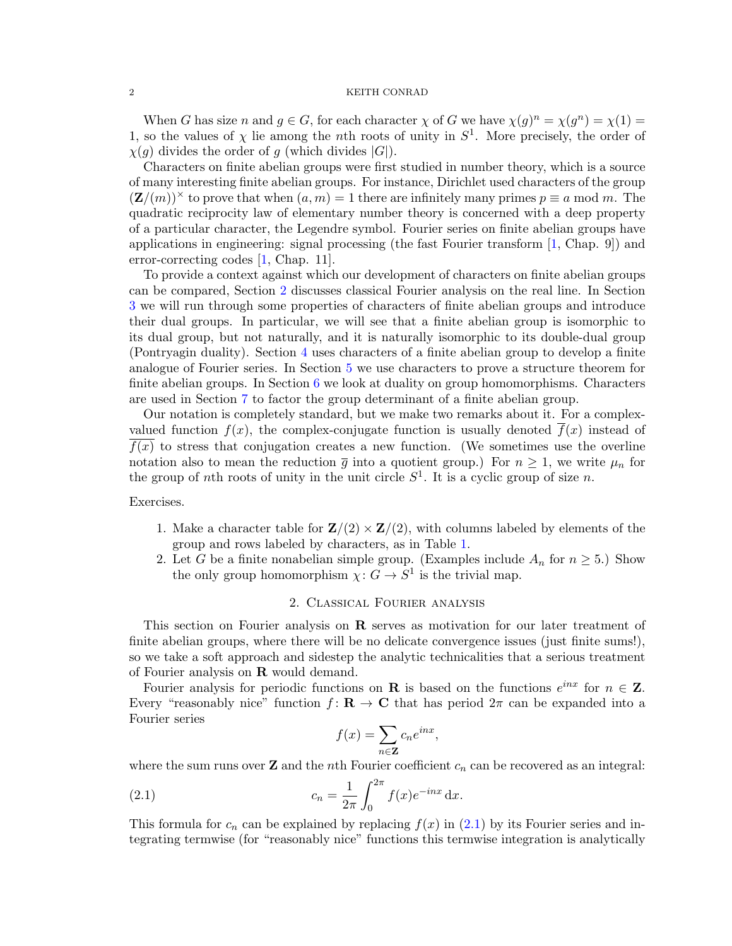When G has size n and  $g \in G$ , for each character  $\chi$  of G we have  $\chi(g)^n = \chi(g^n) = \chi(1) =$ 1, so the values of  $\chi$  lie among the nth roots of unity in  $S^1$ . More precisely, the order of  $\chi(g)$  divides the order of g (which divides  $|G|$ ).

Characters on finite abelian groups were first studied in number theory, which is a source of many interesting finite abelian groups. For instance, Dirichlet used characters of the group  $(\mathbf{Z}/(m))^{\times}$  to prove that when  $(a, m) = 1$  there are infinitely many primes  $p \equiv a \mod m$ . The quadratic reciprocity law of elementary number theory is concerned with a deep property of a particular character, the Legendre symbol. Fourier series on finite abelian groups have applications in engineering: signal processing (the fast Fourier transform [\[1,](#page-25-0) Chap. 9]) and error-correcting codes [\[1,](#page-25-0) Chap. 11].

To provide a context against which our development of characters on finite abelian groups can be compared, Section [2](#page-1-0) discusses classical Fourier analysis on the real line. In Section [3](#page-5-0) we will run through some properties of characters of finite abelian groups and introduce their dual groups. In particular, we will see that a finite abelian group is isomorphic to its dual group, but not naturally, and it is naturally isomorphic to its double-dual group (Pontryagin duality). Section [4](#page-11-0) uses characters of a finite abelian group to develop a finite analogue of Fourier series. In Section [5](#page-17-0) we use characters to prove a structure theorem for finite abelian groups. In Section [6](#page-19-0) we look at duality on group homomorphisms. Characters are used in Section [7](#page-20-0) to factor the group determinant of a finite abelian group.

Our notation is completely standard, but we make two remarks about it. For a complexvalued function  $f(x)$ , the complex-conjugate function is usually denoted  $f(x)$  instead of  $f(x)$  to stress that conjugation creates a new function. (We sometimes use the overline notation also to mean the reduction  $\bar{g}$  into a quotient group.) For  $n \geq 1$ , we write  $\mu_n$  for the group of nth roots of unity in the unit circle  $S^1$ . It is a cyclic group of size n.

Exercises.

- 1. Make a character table for  $\mathbf{Z}/(2) \times \mathbf{Z}/(2)$ , with columns labeled by elements of the group and rows labeled by characters, as in Table [1.](#page-0-0)
- 2. Let G be a finite nonabelian simple group. (Examples include  $A_n$  for  $n \geq 5$ .) Show the only group homomorphism  $\chi: G \to S^1$  is the trivial map.

# 2. Classical Fourier analysis

<span id="page-1-0"></span>This section on Fourier analysis on  $\bf{R}$  serves as motivation for our later treatment of finite abelian groups, where there will be no delicate convergence issues (just finite sums!), so we take a soft approach and sidestep the analytic technicalities that a serious treatment of Fourier analysis on R would demand.

Fourier analysis for periodic functions on **R** is based on the functions  $e^{inx}$  for  $n \in \mathbb{Z}$ . Every "reasonably nice" function  $f: \mathbf{R} \to \mathbf{C}$  that has period  $2\pi$  can be expanded into a Fourier series

<span id="page-1-1"></span>
$$
f(x) = \sum_{n \in \mathbf{Z}} c_n e^{inx},
$$

where the sum runs over  $\mathbf Z$  and the *n*th Fourier coefficient  $c_n$  can be recovered as an integral:

(2.1) 
$$
c_n = \frac{1}{2\pi} \int_0^{2\pi} f(x)e^{-inx} dx.
$$

This formula for  $c_n$  can be explained by replacing  $f(x)$  in [\(2.1\)](#page-1-1) by its Fourier series and integrating termwise (for "reasonably nice" functions this termwise integration is analytically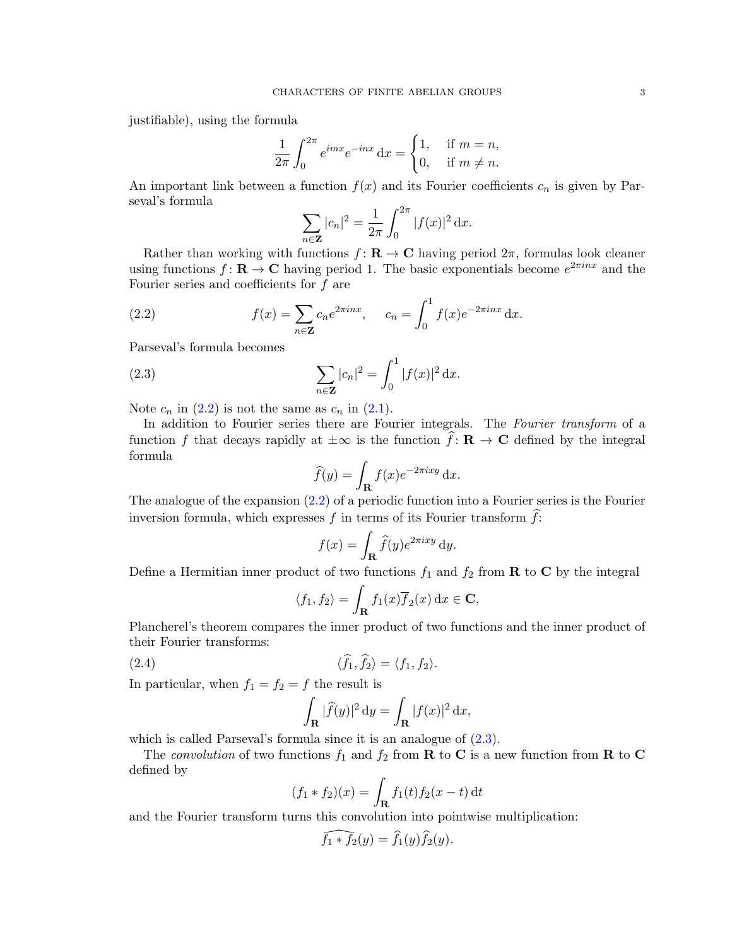justifiable), using the formula

$$
\frac{1}{2\pi} \int_0^{2\pi} e^{imx} e^{-inx} dx = \begin{cases} 1, & \text{if } m = n, \\ 0, & \text{if } m \neq n. \end{cases}
$$

An important link between a function  $f(x)$  and its Fourier coefficients  $c_n$  is given by Parseval's formula

<span id="page-2-0"></span>
$$
\sum_{n \in \mathbf{Z}} |c_n|^2 = \frac{1}{2\pi} \int_0^{2\pi} |f(x)|^2 \, \mathrm{d}x.
$$

Rather than working with functions  $f: \mathbf{R} \to \mathbf{C}$  having period  $2\pi$ , formulas look cleaner using functions  $f: \mathbf{R} \to \mathbf{C}$  having period 1. The basic exponentials become  $e^{2\pi i n x}$  and the Fourier series and coefficients for f are

(2.2) 
$$
f(x) = \sum_{n \in \mathbb{Z}} c_n e^{2\pi i n x}, \quad c_n = \int_0^1 f(x) e^{-2\pi i n x} dx.
$$

Parseval's formula becomes

(2.3) 
$$
\sum_{n \in \mathbf{Z}} |c_n|^2 = \int_0^1 |f(x)|^2 dx.
$$

Note  $c_n$  in  $(2.2)$  is not the same as  $c_n$  in  $(2.1)$ .

In addition to Fourier series there are Fourier integrals. The Fourier transform of a function f that decays rapidly at  $\pm \infty$  is the function  $\hat{f} : \mathbf{R} \to \mathbf{C}$  defined by the integral formula

<span id="page-2-1"></span>
$$
\widehat{f}(y) = \int_{\mathbf{R}} f(x)e^{-2\pi ixy} dx.
$$

The analogue of the expansion  $(2.2)$  of a periodic function into a Fourier series is the Fourier inversion formula, which expresses f in terms of its Fourier transform  $\hat{f}$ :

$$
f(x) = \int_{\mathbf{R}} \hat{f}(y)e^{2\pi i xy} dy.
$$

Define a Hermitian inner product of two functions  $f_1$  and  $f_2$  from **R** to **C** by the integral

$$
\langle f_1, f_2 \rangle = \int_{\mathbf{R}} f_1(x) \overline{f}_2(x) dx \in \mathbf{C},
$$

Plancherel's theorem compares the inner product of two functions and the inner product of their Fourier transforms:

(2.4) 
$$
\langle \widehat{f}_1, \widehat{f}_2 \rangle = \langle f_1, f_2 \rangle.
$$

In particular, when  $f_1 = f_2 = f$  the result is

<span id="page-2-2"></span>
$$
\int_{\mathbf{R}} |\widehat{f}(y)|^2 dy = \int_{\mathbf{R}} |f(x)|^2 dx,
$$

which is called Parseval's formula since it is an analogue of  $(2.3)$ .

The convolution of two functions  $f_1$  and  $f_2$  from **R** to **C** is a new function from **R** to **C** defined by

$$
(f_1 * f_2)(x) = \int_{\mathbf{R}} f_1(t) f_2(x - t) dt
$$

and the Fourier transform turns this convolution into pointwise multiplication:

$$
\widehat{f_1 * f_2}(y) = \widehat{f_1}(y)\widehat{f_2}(y).
$$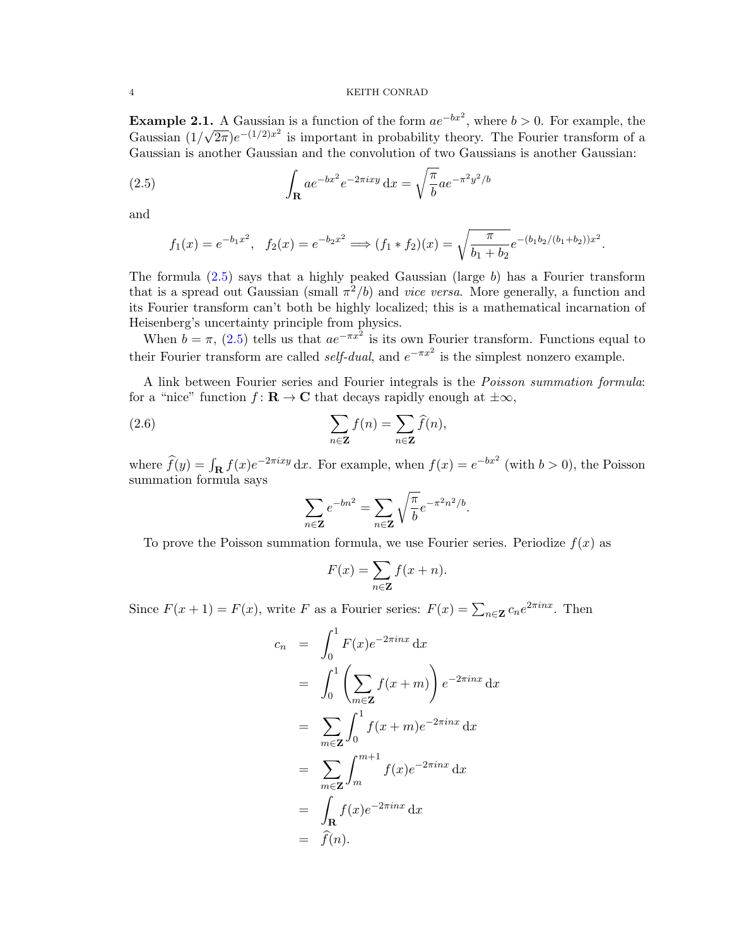**Example 2.1.** A Gaussian is a function of the form  $ae^{-bx^2}$ , where  $b > 0$ . For example, the Gaussian (1/ √  $\overline{2\pi}$ )e<sup>-(1/2)x<sup>2</sup> is important in probability theory. The Fourier transform of a</sup> Gaussian is another Gaussian and the convolution of two Gaussians is another Gaussian:

(2.5) 
$$
\int_{\mathbf{R}} ae^{-bx^2}e^{-2\pi ixy} dx = \sqrt{\frac{\pi}{b}}ae^{-\pi^2y^2/b}
$$

and

<span id="page-3-0"></span>
$$
f_1(x) = e^{-b_1x^2}
$$
,  $f_2(x) = e^{-b_2x^2}$   $\Longrightarrow$   $(f_1 * f_2)(x) = \sqrt{\frac{\pi}{b_1 + b_2}} e^{-(b_1b_2/(b_1 + b_2))x^2}$ .

The formula  $(2.5)$  says that a highly peaked Gaussian (large b) has a Fourier transform that is a spread out Gaussian (small  $\pi^2/b$ ) and *vice versa*. More generally, a function and its Fourier transform can't both be highly localized; this is a mathematical incarnation of Heisenberg's uncertainty principle from physics.

When  $b = \pi$ , [\(2.5\)](#page-3-0) tells us that  $ae^{-\pi x^2}$  is its own Fourier transform. Functions equal to their Fourier transform are called *self-dual*, and  $e^{-\pi x^2}$  is the simplest nonzero example.

A link between Fourier series and Fourier integrals is the Poisson summation formula: for a "nice" function  $f: \mathbf{R} \to \mathbf{C}$  that decays rapidly enough at  $\pm \infty$ ,

(2.6) 
$$
\sum_{n \in \mathbf{Z}} f(n) = \sum_{n \in \mathbf{Z}} \widehat{f}(n),
$$

where  $\hat{f}(y) = \int_{\mathbf{R}} f(x)e^{-2\pi ixy} dx$ . For example, when  $f(x) = e^{-bx^2}$  (with  $b > 0$ ), the Poisson summation formula says

<span id="page-3-1"></span>
$$
\sum_{n\in\mathbf{Z}}e^{-bn^2}=\sum_{n\in\mathbf{Z}}\sqrt{\frac{\pi}{b}}e^{-\pi^2n^2/b}.
$$

To prove the Poisson summation formula, we use Fourier series. Periodize  $f(x)$  as

$$
F(x) = \sum_{n \in \mathbf{Z}} f(x + n).
$$

Since  $F(x+1) = F(x)$ , write F as a Fourier series:  $F(x) = \sum_{n \in \mathbb{Z}} c_n e^{2\pi i nx}$ . Then

$$
c_n = \int_0^1 F(x)e^{-2\pi inx} dx
$$
  
\n
$$
= \int_0^1 \left(\sum_{m \in \mathbb{Z}} f(x+m)\right) e^{-2\pi inx} dx
$$
  
\n
$$
= \sum_{m \in \mathbb{Z}} \int_0^1 f(x+m)e^{-2\pi inx} dx
$$
  
\n
$$
= \sum_{m \in \mathbb{Z}} \int_m^{m+1} f(x)e^{-2\pi inx} dx
$$
  
\n
$$
= \int_{\mathbb{R}} f(x)e^{-2\pi inx} dx
$$
  
\n
$$
= \hat{f}(n).
$$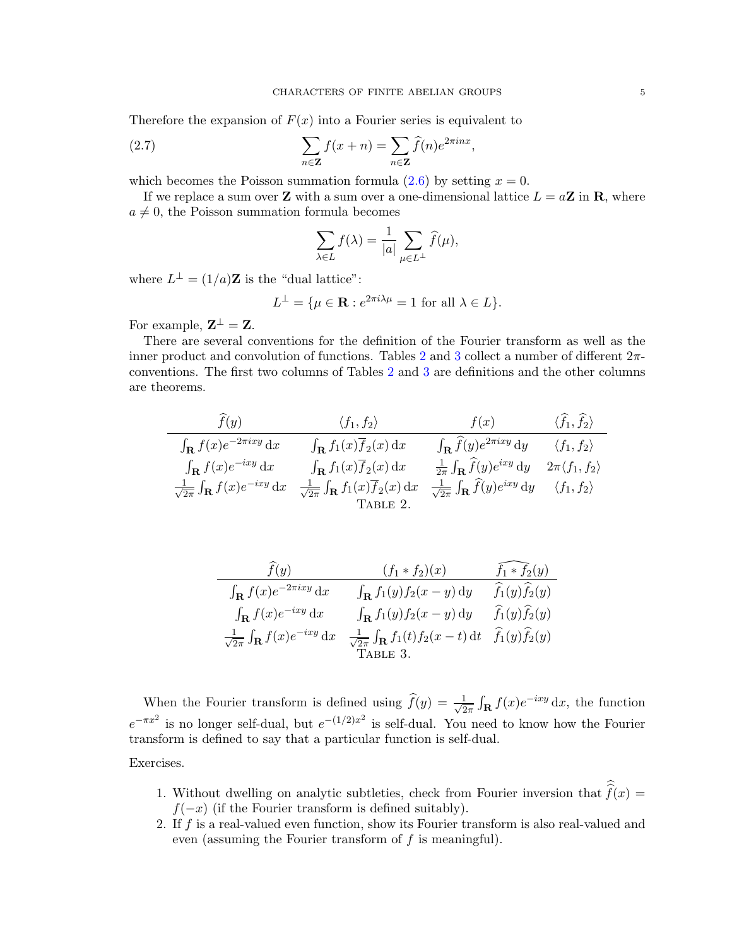Therefore the expansion of  $F(x)$  into a Fourier series is equivalent to

(2.7) 
$$
\sum_{n \in \mathbf{Z}} f(x+n) = \sum_{n \in \mathbf{Z}} \widehat{f}(n) e^{2\pi i n x},
$$

which becomes the Poisson summation formula  $(2.6)$  by setting  $x = 0$ .

If we replace a sum over **Z** with a sum over a one-dimensional lattice  $L = aZ$  in **R**, where  $a \neq 0$ , the Poisson summation formula becomes

<span id="page-4-2"></span>
$$
\sum_{\lambda \in L} f(\lambda) = \frac{1}{|a|} \sum_{\mu \in L^{\perp}} \widehat{f}(\mu),
$$

where  $L^{\perp} = (1/a)\mathbf{Z}$  is the "dual lattice":

$$
L^{\perp} = \{ \mu \in \mathbf{R} : e^{2\pi i \lambda \mu} = 1 \text{ for all } \lambda \in L \}.
$$

For example,  $\mathbf{Z}^{\perp} = \mathbf{Z}$ .

There are several conventions for the definition of the Fourier transform as well as the inner product and convolution of functions. Tables [2](#page-4-0) and [3](#page-4-1) collect a number of different  $2\pi$ conventions. The first two columns of Tables [2](#page-4-0) and [3](#page-4-1) are definitions and the other columns are theorems.

$$
\frac{\hat{f}(y)}{\int_{\mathbf{R}} f(x)e^{-2\pi i x y} dx} \quad \frac{\langle f_1, f_2 \rangle}{\int_{\mathbf{R}} f(x)e^{-2\pi i x y} dx} \quad \frac{\langle f_1, f_2 \rangle}{\int_{\mathbf{R}} f(x)e^{-2\pi i x y} dx} \quad \frac{\int_{\mathbf{R}} \hat{f}(y)e^{2\pi i x y} dy}{\int_{\mathbf{R}} f(x)e^{-i x y} dx} \quad \frac{\int_{\mathbf{R}} f_1(x)\overline{f}_2(x) dx}{\int_{\mathbf{R}} f_1(x)\overline{f}_2(x) dx} \quad \frac{\frac{1}{2\pi} \int_{\mathbf{R}} \hat{f}(y)e^{i x y} dy}{\sqrt{2\pi} \int_{\mathbf{R}} \hat{f}(y)e^{i x y} dy} \quad \frac{\langle f_1, f_2 \rangle}{\langle f_1, f_2 \rangle}
$$
\n
$$
\frac{\frac{1}{2\pi} \int_{\mathbf{R}} f(x)e^{-i x y} dx}{\text{Table 2.}}
$$

<span id="page-4-1"></span><span id="page-4-0"></span>

| f(y)                                                     | $(f_1 * f_2)(x)$                                          | $f_1 * f_2(y)$                     |
|----------------------------------------------------------|-----------------------------------------------------------|------------------------------------|
| $\int_{\mathbf{R}} f(x) e^{-2\pi ixy} dx$                | $\int_{\mathbf{R}} f_1(y) f_2(x-y) dy$                    | $\widehat{f}_1(y)\widehat{f}_2(y)$ |
| $\int_{\mathbf{R}} f(x) e^{-ixy} dx$                     | $\int_{\mathbf{R}} f_1(y) f_2(x-y) dy$                    | $\widehat{f}_1(y)\widehat{f}_2(y)$ |
| $\frac{1}{\sqrt{2\pi}}\int_{\mathbf{R}}f(x)e^{-ixy}\,dx$ | $\frac{1}{\sqrt{2\pi}}\int_{\mathbf{R}}f_1(t)f_2(x-t) dt$ | $\widehat{f}_1(y)\widehat{f}_2(y)$ |
|                                                          | TABLE 3.                                                  |                                    |

When the Fourier transform is defined using  $\widehat{f}(y) = \frac{1}{\sqrt{2}}$  $\frac{1}{2\pi} \int_{\mathbf{R}} f(x) e^{-ixy} dx$ , the function  $e^{-\pi x^2}$  is no longer self-dual, but  $e^{-(1/2)x^2}$  is self-dual. You need to know how the Fourier transform is defined to say that a particular function is self-dual.

Exercises.

- 1. Without dwelling on analytic subtleties, check from Fourier inversion that  $f(x) = f(x)$  $f(-x)$  (if the Fourier transform is defined suitably).
- 2. If f is a real-valued even function, show its Fourier transform is also real-valued and even (assuming the Fourier transform of  $f$  is meaningful).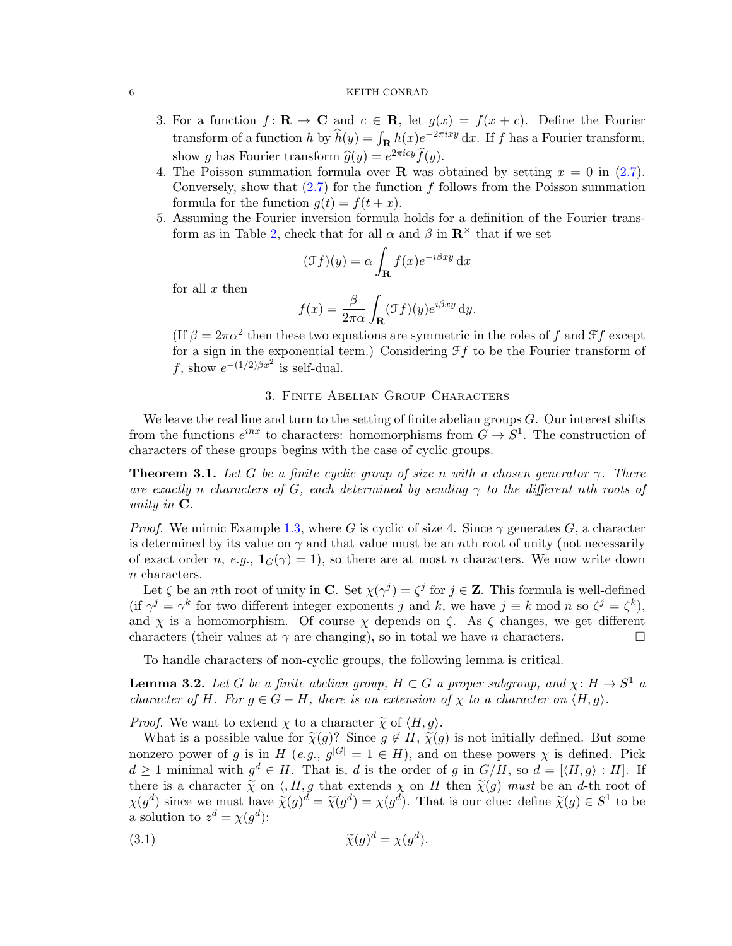- 3. For a function  $f: \mathbf{R} \to \mathbf{C}$  and  $c \in \mathbf{R}$ , let  $g(x) = f(x+c)$ . Define the Fourier transform of a function h by  $\widehat{h}(y) = \int_{\mathbf{R}} h(x) e^{-2\pi i xy} dx$ . If f has a Fourier transform, show g has Fourier transform  $\hat{g}(y) = e^{2\pi i c y} \hat{f}(y)$ .<br>The Poisson summation formula over **B** was a
- 4. The Poisson summation formula over **R** was obtained by setting  $x = 0$  in [\(2.7\)](#page-4-2). Conversely, show that  $(2.7)$  for the function f follows from the Poisson summation formula for the function  $g(t) = f(t + x)$ .
- 5. Assuming the Fourier inversion formula holds for a definition of the Fourier trans-form as in Table [2,](#page-4-0) check that for all  $\alpha$  and  $\beta$  in  $\mathbb{R}^{\times}$  that if we set

$$
(\mathcal{F}f)(y) = \alpha \int_{\mathbf{R}} f(x)e^{-i\beta xy} dx
$$

for all  $x$  then

$$
f(x) = \frac{\beta}{2\pi\alpha} \int_{\mathbf{R}} (\mathcal{F}f)(y)e^{i\beta xy} dy.
$$

(If  $\beta = 2\pi\alpha^2$  then these two equations are symmetric in the roles of f and  $\mathcal{F}f$  except for a sign in the exponential term.) Considering  $\mathcal{F}f$  to be the Fourier transform of f, show  $e^{-(1/2)\beta x^2}$  is self-dual.

## 3. Finite Abelian Group Characters

<span id="page-5-0"></span>We leave the real line and turn to the setting of finite abelian groups  $G$ . Our interest shifts from the functions  $e^{inx}$  to characters: homomorphisms from  $G \to S^1$ . The construction of characters of these groups begins with the case of cyclic groups.

**Theorem 3.1.** Let G be a finite cyclic group of size n with a chosen generator  $\gamma$ . There are exactly n characters of G, each determined by sending  $\gamma$  to the different nth roots of unity in C.

*Proof.* We mimic Example [1.3,](#page-0-1) where G is cyclic of size 4. Since  $\gamma$  generates G, a character is determined by its value on  $\gamma$  and that value must be an nth root of unity (not necessarily of exact order n, e.g.,  $\mathbf{1}_G(\gamma) = 1$ , so there are at most n characters. We now write down n characters.

Let  $\zeta$  be an *n*th root of unity in **C**. Set  $\chi(\gamma^j) = \zeta^j$  for  $j \in \mathbb{Z}$ . This formula is well-defined (if  $\gamma^j = \gamma^k$  for two different integer exponents j and k, we have  $j \equiv k \mod n$  so  $\zeta^j = \zeta^k$ ), and  $\chi$  is a homomorphism. Of course  $\chi$  depends on  $\zeta$ . As  $\zeta$  changes, we get different characters (their values at  $\gamma$  are changing), so in total we have *n* characters.

To handle characters of non-cyclic groups, the following lemma is critical.

<span id="page-5-2"></span>**Lemma 3.2.** Let G be a finite abelian group,  $H \subset G$  a proper subgroup, and  $\chi: H \to S^1$  a character of H. For  $g \in G - H$ , there is an extension of  $\chi$  to a character on  $\langle H, g \rangle$ .

*Proof.* We want to extend  $\chi$  to a character  $\widetilde{\chi}$  of  $\langle H, g \rangle$ .

What is a possible value for  $\tilde{\chi}(g)$ ? Since  $g \notin H$ ,  $\tilde{\chi}(g)$  is not initially defined. But some nonzero power of g is in H (e.g.,  $g^{|G|} = 1 \in H$ ), and on these powers  $\chi$  is defined. Pick  $d \geq 1$  minimal with  $g^d \in H$ . That is, d is the order of g in  $G/H$ , so  $d = \langle \langle H, g \rangle : H \rangle$ . If there is a character  $\tilde{\chi}$  on  $\langle$ , H, g that extends  $\chi$  on H then  $\tilde{\chi}(g)$  must be an d-th root of  $\chi(g^d)$  since we must have  $\tilde{\chi}(g)^d = \tilde{\chi}(g^d) = \chi(g^d)$ . That is our clue: define  $\tilde{\chi}(g) \in S^1$  to be a solution to  $z^d = \chi(g^d)$ :

<span id="page-5-1"></span>(3.1) 
$$
\widetilde{\chi}(g)^d = \chi(g^d).
$$

<span id="page-5-3"></span>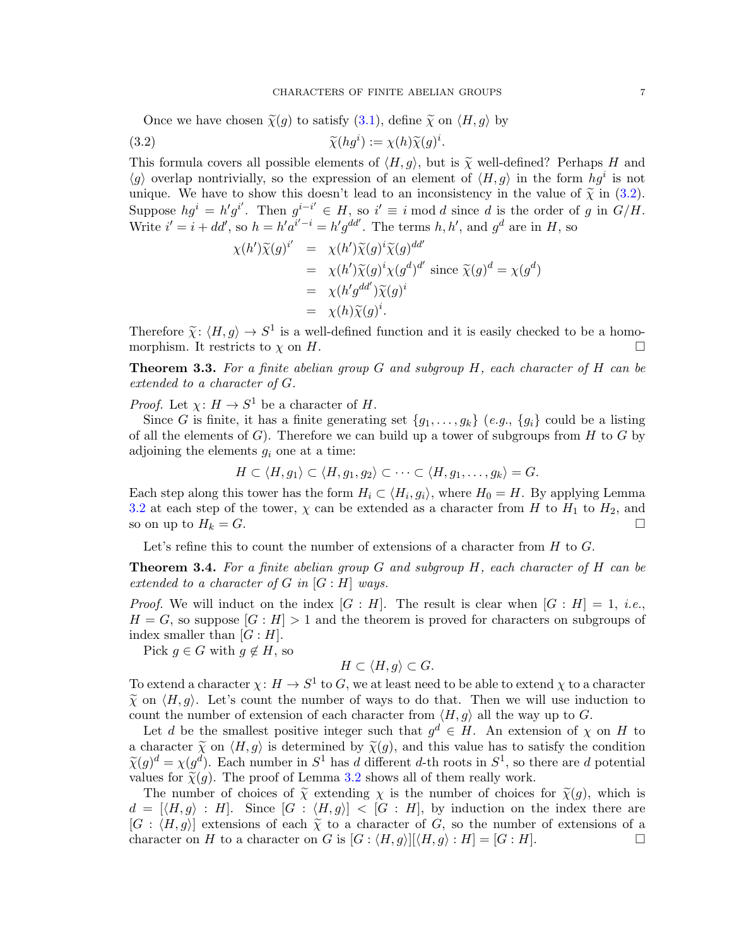Once we have chosen  $\tilde{\chi}(g)$  to satisfy  $(3.1)$ , define  $\tilde{\chi}$  on  $\langle H, g \rangle$  by

(3.2) 
$$
\widetilde{\chi}(hg^i) := \chi(h)\widetilde{\chi}(g)^i.
$$

This formula covers all possible elements of  $\langle H, g \rangle$ , but is  $\tilde{\chi}$  well-defined? Perhaps H and  $\langle g \rangle$  overlap nontrivially, so the expression of an element of  $\langle H, g \rangle$  in the form  $hg^i$  is not unique. We have to show this doesn't lead to an inconsistency in the value of  $\tilde{\chi}$  in [\(3.2\)](#page-6-0). Suppose  $hg^i = h'g^{i'}$ . Then  $g^{i-i'} \in H$ , so  $i' \equiv i \mod d$  since d is the order of g in  $G/H$ . Write  $i' = i + dd'$ , so  $h = h'a^{i'-i} = h'g^{dd'}$ . The terms  $h, h'$ , and  $g^d$  are in H, so

<span id="page-6-0"></span>
$$
\chi(h')\widetilde{\chi}(g)^{i'} = \chi(h')\widetilde{\chi}(g)^{i}\widetilde{\chi}(g)^{dd'}
$$
  
\n
$$
= \chi(h')\widetilde{\chi}(g)^{i}\chi(g^{d})^{d'} \text{ since } \widetilde{\chi}(g)^{d} = \chi(g^{d})
$$
  
\n
$$
= \chi(h')\widetilde{\chi}(g)^{i}
$$
  
\n
$$
= \chi(h)\widetilde{\chi}(g)^{i}.
$$

Therefore  $\tilde{\chi}$ :  $\langle H, g \rangle \to S^1$  is a well-defined function and it is easily checked to be a homo-<br>morphism. It restricts to  $\chi$  on  $H$ morphism. It restricts to  $\chi$  on  $H$ .

<span id="page-6-1"></span>**Theorem 3.3.** For a finite abelian group  $G$  and subgroup  $H$ , each character of  $H$  can be extended to a character of G.

*Proof.* Let  $\chi: H \to S^1$  be a character of H.

Since G is finite, it has a finite generating set  $\{g_1, \ldots, g_k\}$  (e.g.,  $\{g_i\}$  could be a listing of all the elements of  $G$ ). Therefore we can build up a tower of subgroups from  $H$  to  $G$  by adjoining the elements  $g_i$  one at a time:

$$
H \subset \langle H, g_1 \rangle \subset \langle H, g_1, g_2 \rangle \subset \cdots \subset \langle H, g_1, \ldots, g_k \rangle = G.
$$

Each step along this tower has the form  $H_i \subset \langle H_i, g_i \rangle$ , where  $H_0 = H$ . By applying Lemma [3.2](#page-5-2) at each step of the tower,  $\chi$  can be extended as a character from H to  $H_1$  to  $H_2$ , and so on up to  $H_k = G$ .

Let's refine this to count the number of extensions of a character from  $H$  to  $G$ .

<span id="page-6-2"></span>**Theorem 3.4.** For a finite abelian group G and subgroup  $H$ , each character of  $H$  can be extended to a character of  $G$  in  $[G:H]$  ways.

*Proof.* We will induct on the index  $[G : H]$ . The result is clear when  $[G : H] = 1$ , *i.e.*,  $H = G$ , so suppose  $[G : H] > 1$  and the theorem is proved for characters on subgroups of index smaller than  $[G:H]$ .

Pick  $g \in G$  with  $g \notin H$ , so

$$
H \subset \langle H, g \rangle \subset G.
$$

To extend a character  $\chi: H \to S^1$  to G, we at least need to be able to extend  $\chi$  to a character  $\tilde{\chi}$  on  $\langle H, g \rangle$ . Let's count the number of ways to do that. Then we will use induction to count the number of extension of each character from  $\langle H, g \rangle$  all the way up to G.

Let d be the smallest positive integer such that  $g^d \in H$ . An extension of  $\chi$  on H to a character  $\tilde{\chi}$  on  $\langle H, g \rangle$  is determined by  $\tilde{\chi}(g)$ , and this value has to satisfy the condition  $\widetilde{\chi}(g)^d = \chi(g^d)$ . Each number in  $S^1$  has d different d-th roots in  $S^1$ , so there are d potential values for  $\widetilde{\chi}(g)$ . The proof of Lemma 3.2 shows all of them roally work values for  $\tilde{\chi}(g)$ . The proof of Lemma [3.2](#page-5-2) shows all of them really work.

The number of choices of  $\tilde{\chi}$  extending  $\chi$  is the number of choices for  $\tilde{\chi}(g)$ , which is  $d = |\langle H, g \rangle : H|$ . Since  $|G : \langle H, g \rangle| < |G : H|$ , by induction on the index there are  $[G : \langle H, g \rangle]$  extensions of each  $\tilde{\chi}$  to a character of G, so the number of extensions of a character on H to a character on G is  $[G : \langle H, g \rangle][\langle H, g \rangle : H] = [G : H]$ . character on H to a character on G is  $[G: \langle H, g \rangle][\langle H, g \rangle : H] = [G : H].$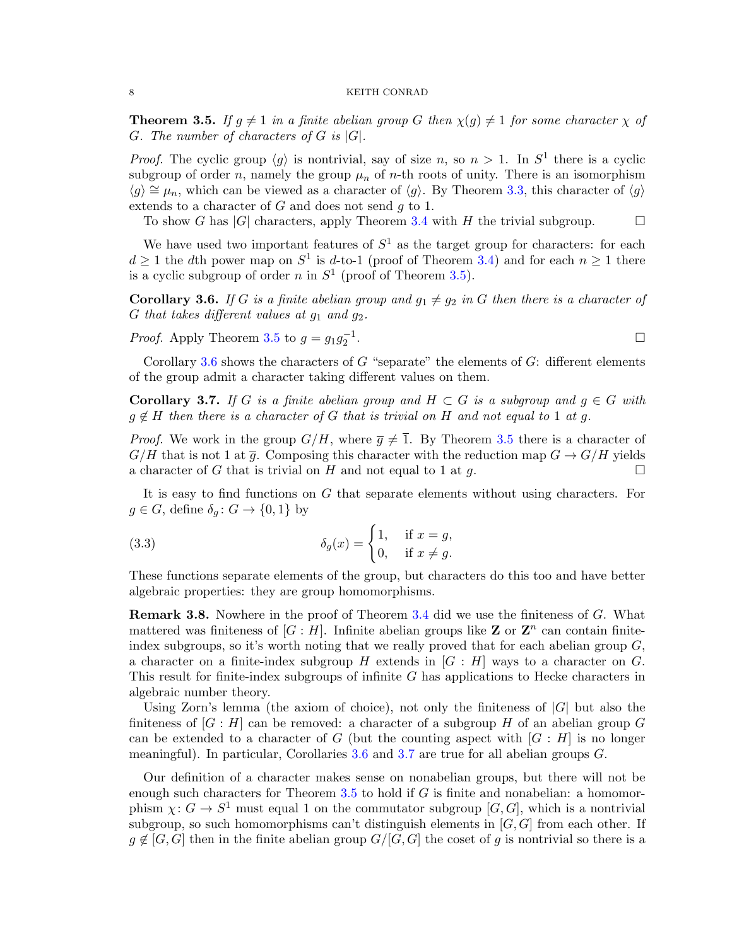<span id="page-7-0"></span>**Theorem 3.5.** If  $g \neq 1$  in a finite abelian group G then  $\chi(g) \neq 1$  for some character  $\chi$  of G. The number of characters of  $G$  is  $|G|$ .

*Proof.* The cyclic group  $\langle g \rangle$  is nontrivial, say of size n, so  $n > 1$ . In  $S^1$  there is a cyclic subgroup of order n, namely the group  $\mu_n$  of n-th roots of unity. There is an isomorphism  $\langle g \rangle \cong \mu_n$ , which can be viewed as a character of  $\langle g \rangle$ . By Theorem [3.3,](#page-6-1) this character of  $\langle g \rangle$ extends to a character of  $G$  and does not send  $g$  to 1.

To show G has  $|G|$  characters, apply Theorem [3.4](#page-6-2) with H the trivial subgroup.  $\square$ 

We have used two important features of  $S^1$  as the target group for characters: for each  $d \geq 1$  the dth power map on  $S^1$  is d-to-1 (proof of Theorem [3.4\)](#page-6-2) and for each  $n \geq 1$  there is a cyclic subgroup of order n in  $S^1$  (proof of Theorem [3.5\)](#page-7-0).

<span id="page-7-1"></span>**Corollary 3.6.** If G is a finite abelian group and  $g_1 \neq g_2$  in G then there is a character of G that takes different values at  $g_1$  and  $g_2$ .

*Proof.* Apply Theorem [3.5](#page-7-0) to  $g = g_1 g_2^{-1}$ . В последните последните последните последните последните последните последните последните последните последн<br>В последните последните последните последните последните последните последните последните последните последнит

Corollary [3.6](#page-7-1) shows the characters of  $G$  "separate" the elements of  $G$ : different elements of the group admit a character taking different values on them.

<span id="page-7-2"></span>**Corollary 3.7.** If G is a finite abelian group and  $H \subset G$  is a subgroup and  $g \in G$  with  $q \notin H$  then there is a character of G that is trivial on H and not equal to 1 at q.

*Proof.* We work in the group  $G/H$ , where  $\overline{q} \neq \overline{1}$ . By Theorem [3.5](#page-7-0) there is a character of  $G/H$  that is not 1 at  $\bar{g}$ . Composing this character with the reduction map  $G \to G/H$  yields a character of G that is trivial on H and not equal to 1 at g.

It is easy to find functions on G that separate elements without using characters. For  $g \in G$ , define  $\delta_g : G \to \{0,1\}$  by

<span id="page-7-4"></span>(3.3) 
$$
\delta_g(x) = \begin{cases} 1, & \text{if } x = g, \\ 0, & \text{if } x \neq g. \end{cases}
$$

These functions separate elements of the group, but characters do this too and have better algebraic properties: they are group homomorphisms.

<span id="page-7-3"></span>Remark 3.8. Nowhere in the proof of Theorem [3.4](#page-6-2) did we use the finiteness of G. What mattered was finiteness of  $[G:H]$ . Infinite abelian groups like **Z** or  $\mathbb{Z}^n$  can contain finiteindex subgroups, so it's worth noting that we really proved that for each abelian group  $G$ , a character on a finite-index subgroup H extends in  $[G:H]$  ways to a character on G. This result for finite-index subgroups of infinite G has applications to Hecke characters in algebraic number theory.

Using Zorn's lemma (the axiom of choice), not only the finiteness of  $|G|$  but also the finiteness of  $[G : H]$  can be removed: a character of a subgroup H of an abelian group G can be extended to a character of G (but the counting aspect with  $[G:H]$  is no longer meaningful). In particular, Corollaries [3.6](#page-7-1) and [3.7](#page-7-2) are true for all abelian groups G.

Our definition of a character makes sense on nonabelian groups, but there will not be enough such characters for Theorem [3.5](#page-7-0) to hold if  $G$  is finite and nonabelian: a homomorphism  $\chi: G \to S^1$  must equal 1 on the commutator subgroup  $[G, G]$ , which is a nontrivial subgroup, so such homomorphisms can't distinguish elements in  $[G, G]$  from each other. If  $g \notin [G, G]$  then in the finite abelian group  $G/[G, G]$  the coset of g is nontrivial so there is a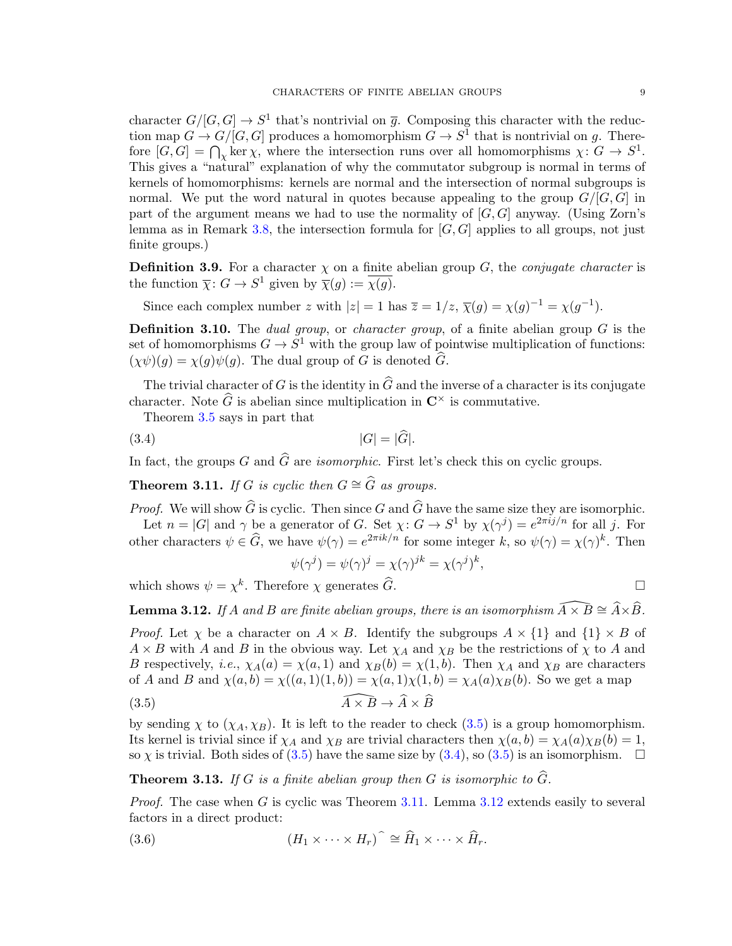character  $G/[G, G] \to S^1$  that's nontrivial on  $\overline{g}$ . Composing this character with the reduction map  $G \to G/[G, G]$  produces a homomorphism  $G \to S^1$  that is nontrivial on g. Therefore  $[G, G] = \bigcap_{\chi} \ker \chi$ , where the intersection runs over all homomorphisms  $\chi: G \to S^1$ . This gives a "natural" explanation of why the commutator subgroup is normal in terms of kernels of homomorphisms: kernels are normal and the intersection of normal subgroups is normal. We put the word natural in quotes because appealing to the group  $G/[G, G]$  in part of the argument means we had to use the normality of  $[G, G]$  anyway. (Using Zorn's lemma as in Remark [3.8,](#page-7-3) the intersection formula for  $[G, G]$  applies to all groups, not just finite groups.)

**Definition 3.9.** For a character  $\chi$  on a finite abelian group G, the *conjugate character* is the function  $\overline{\chi}: G \to S^1$  given by  $\overline{\chi}(g) := \overline{\chi(g)}$ .

Since each complex number z with  $|z|=1$  has  $\overline{z}=1/z$ ,  $\overline{\chi}(g)=\chi(g)^{-1}=\chi(g^{-1})$ .

**Definition 3.10.** The *dual group*, or *character group*, of a finite abelian group  $G$  is the set of homomorphisms  $G \to S^1$  with the group law of pointwise multiplication of functions:  $(\chi \psi)(q) = \chi(q)\psi(q)$ . The dual group of G is denoted  $\hat{G}$ .

The trivial character of G is the identity in  $\widehat{G}$  and the inverse of a character is its conjugate character. Note  $\widehat{G}$  is abelian since multiplication in  $\mathbb{C}^\times$  is commutative.

Theorem [3.5](#page-7-0) says in part that

$$
|G| = |\hat{G}|.
$$

In fact, the groups G and  $\widehat{G}$  are *isomorphic*. First let's check this on cyclic groups.

<span id="page-8-2"></span>**Theorem 3.11.** If G is cyclic then  $G \cong \widehat{G}$  as groups.

*Proof.* We will show  $\widehat{G}$  is cyclic. Then since G and  $\widehat{G}$  have the same size they are isomorphic. Let  $n = |G|$  and  $\gamma$  be a generator of G. Set  $\chi: G \to S^1$  by  $\chi(\gamma^j) = e^{2\pi i j/n}$  for all j. For

other characters  $\psi \in \hat{G}$ , we have  $\psi(\gamma) = e^{2\pi i k/n}$  for some integer k, so  $\psi(\gamma) = \chi(\gamma)^k$ . Then

<span id="page-8-1"></span><span id="page-8-0"></span>
$$
\psi(\gamma^j) = \psi(\gamma)^j = \chi(\gamma)^{jk} = \chi(\gamma^j)^k
$$

,

which shows  $\psi = \chi^k$ . Therefore  $\chi$  generates  $\widehat{G}$ .

<span id="page-8-3"></span>**Lemma 3.12.** If A and B are finite abelian groups, there is an isomorphism  $\widehat{A \times B} \cong \widehat{A} \times \widehat{B}$ .

*Proof.* Let  $\chi$  be a character on  $A \times B$ . Identify the subgroups  $A \times \{1\}$  and  $\{1\} \times B$  of  $A \times B$  with A and B in the obvious way. Let  $\chi_A$  and  $\chi_B$  be the restrictions of  $\chi$  to A and B respectively, *i.e.*,  $\chi_A(a) = \chi(a, 1)$  and  $\chi_B(b) = \chi(1, b)$ . Then  $\chi_A$  and  $\chi_B$  are characters of A and B and  $\chi(a, b) = \chi((a, 1)(1, b)) = \chi(a, 1)\chi(1, b) = \chi_A(a)\chi_B(b)$ . So we get a map

(3.5) 
$$
\widehat{A \times B} \to \widehat{A} \times \widehat{B}
$$

by sending  $\chi$  to  $(\chi_A, \chi_B)$ . It is left to the reader to check  $(3.5)$  is a group homomorphism. Its kernel is trivial since if  $\chi_A$  and  $\chi_B$  are trivial characters then  $\chi(a, b) = \chi_A(a)\chi_B(b) = 1$ , so  $\chi$  is trivial. Both sides of [\(3.5\)](#page-8-0) have the same size by [\(3.4\)](#page-8-1), so (3.5) is an isomorphism.  $\Box$ 

<span id="page-8-5"></span>**Theorem 3.13.** If G is a finite abelian group then G is isomorphic to  $\widehat{G}$ .

*Proof.* The case when G is cyclic was Theorem  $3.11$ . Lemma  $3.12$  extends easily to several factors in a direct product:

<span id="page-8-4"></span>(3.6) 
$$
(H_1 \times \cdots \times H_r) \hat{=} \hat{H}_1 \times \cdots \times \hat{H}_r.
$$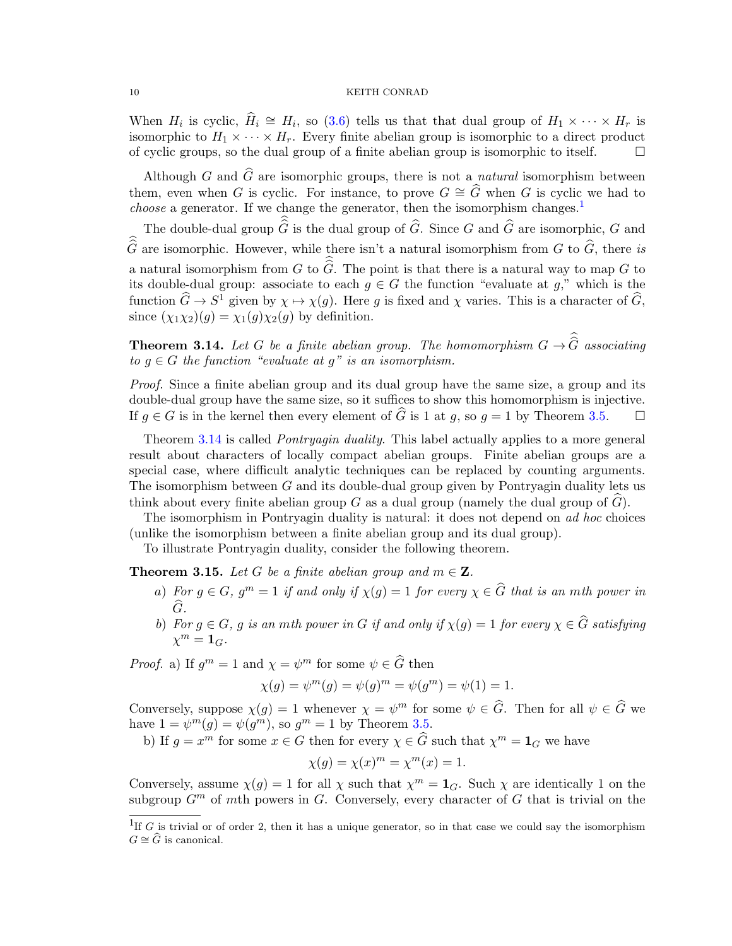When  $H_i$  is cyclic,  $\hat{H}_i \cong H_i$ , so [\(3.6\)](#page-8-4) tells us that that dual group of  $H_1 \times \cdots \times H_r$  is isomorphic to  $H_1 \times \cdots \times H_r$ . Every finite abelian group is isomorphic to a direct product of cyclic groups, so the dual group of a finite abelian group is isomorphic to itself.  $\Box$ 

Although G and  $\widehat{G}$  are isomorphic groups, there is not a *natural* isomorphism between them, even when G is cyclic. For instance, to prove  $G \cong \widehat{G}$  when G is cyclic we had to *choose* a generator. If we change the generator, then the isomorphism changes.<sup>[1](#page-9-0)</sup>

The double-dual group  $\widehat{G}$  is the dual group of  $\widehat{G}$ . Since G and  $\widehat{G}$  are isomorphic, G and  $\hat{\tilde{G}}$  are isomorphic. However, while there isn't a natural isomorphism from G to  $\hat{G}$ , there is a natural isomorphism from G to  $\widehat{G}$ . The point is that there is a natural way to map G to its double-dual group: associate to each  $g \in G$  the function "evaluate at  $g,$ " which is the function  $\widehat{G} \to S^1$  given by  $\chi \mapsto \chi(g)$ . Here g is fixed and  $\chi$  varies. This is a character of  $\widehat{G}$ , since  $(\chi_1 \chi_2)(q) = \chi_1(q) \chi_2(q)$  by definition.

<span id="page-9-1"></span>**Theorem 3.14.** Let G be a finite abelian group. The homomorphism  $G \to G$  associating to  $g \in G$  the function "evaluate at  $g$ " is an isomorphism.

Proof. Since a finite abelian group and its dual group have the same size, a group and its double-dual group have the same size, so it suffices to show this homomorphism is injective. If  $q \in G$  is in the kernel then every element of  $\widehat{G}$  is 1 at q, so  $q = 1$  by Theorem [3.5.](#page-7-0)

Theorem [3.14](#page-9-1) is called *Pontryagin duality*. This label actually applies to a more general result about characters of locally compact abelian groups. Finite abelian groups are a special case, where difficult analytic techniques can be replaced by counting arguments. The isomorphism between G and its double-dual group given by Pontryagin duality lets us think about every finite abelian group G as a dual group (namely the dual group of  $G$ ).

The isomorphism in Pontryagin duality is natural: it does not depend on *ad hoc* choices (unlike the isomorphism between a finite abelian group and its dual group).

To illustrate Pontryagin duality, consider the following theorem.

<span id="page-9-2"></span>**Theorem 3.15.** Let G be a finite abelian group and  $m \in \mathbb{Z}$ .

- a) For  $g \in G$ ,  $g^m = 1$  if and only if  $\chi(g) = 1$  for every  $\chi \in \widehat{G}$  that is an mth power in  $\frac{G}{D}$ .
- b) For  $g \in G$ , g is an mth power in G if and only if  $\chi(g) = 1$  for every  $\chi \in \overline{G}$  satisfying  $\chi^m = \mathbf{1}_G.$

*Proof.* a) If  $g^m = 1$  and  $\chi = \psi^m$  for some  $\psi \in \widehat{G}$  then

$$
\chi(g) = \psi^{m}(g) = \psi(g)^{m} = \psi(g^{m}) = \psi(1) = 1.
$$

Conversely, suppose  $\chi(g) = 1$  whenever  $\chi = \psi^m$  for some  $\psi \in \widehat{G}$ . Then for all  $\psi \in \widehat{G}$  we have  $1 = \psi^m(g) = \psi(g^m)$ , so  $g^m = 1$  by Theorem [3.5.](#page-7-0)

b) If  $g = x^m$  for some  $x \in G$  then for every  $\chi \in \widehat{G}$  such that  $\chi^m = \mathbf{1}_G$  we have

$$
\chi(g) = \chi(x)^m = \chi^m(x) = 1.
$$

Conversely, assume  $\chi(g) = 1$  for all  $\chi$  such that  $\chi^m = \mathbf{1}_G$ . Such  $\chi$  are identically 1 on the subgroup  $G<sup>m</sup>$  of mth powers in G. Conversely, every character of G that is trivial on the

<span id="page-9-0"></span><sup>&</sup>lt;sup>1</sup>If G is trivial or of order 2, then it has a unique generator, so in that case we could say the isomorphism  $G \cong \widehat{G}$  is canonical.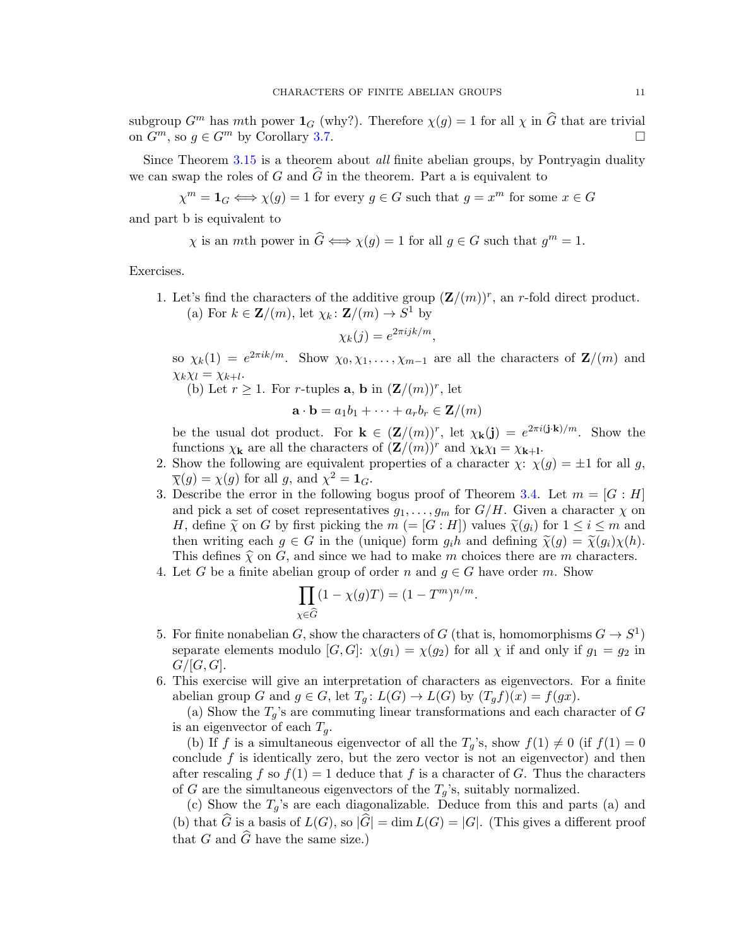subgroup  $G^m$  has mth power  $\mathbf{1}_G$  (why?). Therefore  $\chi(g) = 1$  for all  $\chi$  in  $\widehat{G}$  that are trivial on  $G^m$  so  $g \in G^m$  by Corollary 3.7 on  $G^m$ , so  $q \in G^m$  by Corollary [3.7.](#page-7-2)

Since Theorem [3.15](#page-9-2) is a theorem about *all* finite abelian groups, by Pontryagin duality we can swap the roles of G and  $\hat{G}$  in the theorem. Part a is equivalent to

$$
\chi^m = \mathbf{1}_G \Longleftrightarrow \chi(g) = 1
$$
 for every  $g \in G$  such that  $g = x^m$  for some  $x \in G$ 

and part b is equivalent to

$$
\chi
$$
 is an *m*th power in  $\widehat{G} \Longleftrightarrow \chi(g) = 1$  for all  $g \in G$  such that  $g^m = 1$ .

<span id="page-10-0"></span>Exercises.

1. Let's find the characters of the additive group  $(\mathbf{Z}/(m))^r$ , an r-fold direct product. (a) For  $k \in \mathbf{Z}/(m)$ , let  $\chi_k : \mathbf{Z}/(m) \to S^1$  by

$$
\chi_k(j) = e^{2\pi i jk/m},
$$

so  $\chi_k(1) = e^{2\pi i k/m}$ . Show  $\chi_0, \chi_1, \ldots, \chi_{m-1}$  are all the characters of  $\mathbf{Z}/(m)$  and  $\chi_k \chi_l = \chi_{k+l}.$ 

(b) Let  $r \geq 1$ . For r-tuples **a**, **b** in  $(\mathbf{Z}/(m))^r$ , let

 $\mathbf{a} \cdot \mathbf{b} = a_1b_1 + \cdots + a_rb_r \in \mathbf{Z}/(m)$ 

be the usual dot product. For  $\mathbf{k} \in (\mathbf{Z}/(m))^r$ , let  $\chi_{\mathbf{k}}(\mathbf{j}) = e^{2\pi i(\mathbf{j} \cdot \mathbf{k})/m}$ . Show the functions  $\chi_{\mathbf{k}}$  are all the characters of  $(\mathbf{Z}/(m))^r$  and  $\chi_{\mathbf{k}}\chi_{\mathbf{l}} = \chi_{\mathbf{k}+\mathbf{l}}$ .

- 2. Show the following are equivalent properties of a character  $\chi: \chi(g) = \pm 1$  for all g,  $\overline{\chi}(g) = \chi(g)$  for all g, and  $\chi^2 = \mathbf{1}_G$ .
- 3. Describe the error in the following bogus proof of Theorem [3.4.](#page-6-2) Let  $m = [G : H]$ and pick a set of coset representatives  $g_1, \ldots, g_m$  for  $G/H$ . Given a character  $\chi$  on H, define  $\tilde{\chi}$  on G by first picking the  $m (= [G : H])$  values  $\tilde{\chi}(g_i)$  for  $1 \leq i \leq m$  and then writing each  $q \in G$  in the (unique) form  $q_i h$  and defining  $\tilde{\chi}(q) = \tilde{\chi}(q_i) \chi(h)$ . This defines  $\hat{\chi}$  on G, and since we had to make m choices there are m characters.
- 4. Let G be a finite abelian group of order n and  $g \in G$  have order m. Show

$$
\prod_{\chi \in \widehat{G}} (1 - \chi(g)T) = (1 - T^m)^{n/m}.
$$

- 5. For finite nonabelian G, show the characters of G (that is, homomorphisms  $G \to S^1$ ) separate elements modulo  $[G, G]$ :  $\chi(g_1) = \chi(g_2)$  for all  $\chi$  if and only if  $g_1 = g_2$  in  $G/[G, G].$
- <span id="page-10-1"></span>6. This exercise will give an interpretation of characters as eigenvectors. For a finite abelian group G and  $g \in G$ , let  $T_q: L(G) \to L(G)$  by  $(T_q f)(x) = f(gx)$ .

(a) Show the  $T_g$ 's are commuting linear transformations and each character of G is an eigenvector of each  $T_q$ .

(b) If f is a simultaneous eigenvector of all the  $T_q$ 's, show  $f(1) \neq 0$  (if  $f(1) = 0$ conclude  $f$  is identically zero, but the zero vector is not an eigenvector) and then after rescaling f so  $f(1) = 1$  deduce that f is a character of G. Thus the characters of G are the simultaneous eigenvectors of the  $T_q$ 's, suitably normalized.

(c) Show the  $T_g$ 's are each diagonalizable. Deduce from this and parts (a) and (b) that  $\widehat{G}$  is a basis of  $L(G)$ , so  $|\widehat{G}| = \dim L(G) = |G|$ . (This gives a different proof that G and  $\widehat{G}$  have the same size.)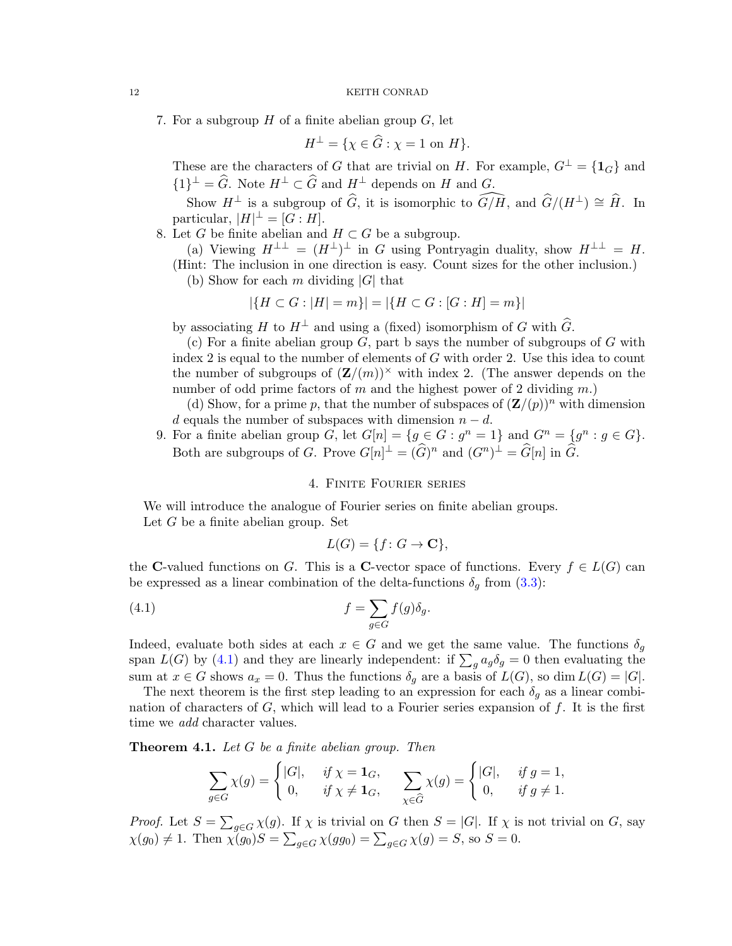7. For a subgroup  $H$  of a finite abelian group  $G$ , let

$$
H^{\perp} = \{ \chi \in \widehat{G} : \chi = 1 \text{ on } H \}.
$$

These are the characters of G that are trivial on H. For example,  $G^{\perp} = \{1_G\}$  and  ${1}^{\perp} = \widehat{G}$ . Note  $H^{\perp} \subset \widehat{G}$  and  $H^{\perp}$  depends on H and  $G$ .

Show  $H^{\perp}$  is a subgroup of  $\widehat{G}$ , it is isomorphic to  $\widehat{G/H}$ , and  $\widehat{G}/(H^{\perp}) \cong \widehat{H}$ . In particular,  $|H|^{\perp} = [G : H].$ 

8. Let G be finite abelian and  $H \subset G$  be a subgroup.

- (a) Viewing  $H^{\perp \perp} = (H^{\perp})^{\perp}$  in G using Pontryagin duality, show  $H^{\perp \perp} = H$ . (Hint: The inclusion in one direction is easy. Count sizes for the other inclusion.)
	- (b) Show for each m dividing  $|G|$  that

$$
|\{H \subset G : |H| = m\}| = |\{H \subset G : [G : H] = m\}|
$$

by associating H to  $H^{\perp}$  and using a (fixed) isomorphism of G with  $\widehat{G}$ .

(c) For a finite abelian group  $G$ , part b says the number of subgroups of  $G$  with index 2 is equal to the number of elements of  $G$  with order 2. Use this idea to count the number of subgroups of  $(\mathbf{Z}/(m))^{\times}$  with index 2. (The answer depends on the number of odd prime factors of m and the highest power of 2 dividing  $m$ .)

(d) Show, for a prime p, that the number of subspaces of  $(\mathbf{Z}/(p))^n$  with dimension d equals the number of subspaces with dimension  $n - d$ .

9. For a finite abelian group G, let  $G[n] = \{g \in G : g^n = 1\}$  and  $G^n = \{g^n : g \in G\}.$ Both are subgroups of G. Prove  $G[n]^\perp = (\widehat{G})^n$  and  $(G^n)^\perp = \widehat{G}[n]$  in  $\widehat{G}$ .

## 4. Finite Fourier series

<span id="page-11-0"></span>We will introduce the analogue of Fourier series on finite abelian groups. Let  $G$  be a finite abelian group. Set

<span id="page-11-1"></span>
$$
L(G) = \{ f \colon G \to \mathbf{C} \},
$$

the C-valued functions on G. This is a C-vector space of functions. Every  $f \in L(G)$  can be expressed as a linear combination of the delta-functions  $\delta_g$  from [\(3.3\)](#page-7-4):

(4.1) 
$$
f = \sum_{g \in G} f(g) \delta_g.
$$

Indeed, evaluate both sides at each  $x \in G$  and we get the same value. The functions  $\delta_q$ span  $L(G)$  by [\(4.1\)](#page-11-1) and they are linearly independent: if  $\sum_{g} a_g \delta_g = 0$  then evaluating the sum at  $x \in G$  shows  $a_x = 0$ . Thus the functions  $\delta_g$  are a basis of  $L(G)$ , so dim  $L(G) = |G|$ .

The next theorem is the first step leading to an expression for each  $\delta_q$  as a linear combination of characters of  $G$ , which will lead to a Fourier series expansion of  $f$ . It is the first time we *add* character values.

<span id="page-11-2"></span>**Theorem 4.1.** Let  $G$  be a finite abelian group. Then

$$
\sum_{g \in G} \chi(g) = \begin{cases} |G|, & \text{if } \chi = \mathbf{1}_G, \\ 0, & \text{if } \chi \neq \mathbf{1}_G, \end{cases} \sum_{\chi \in \widehat{G}} \chi(g) = \begin{cases} |G|, & \text{if } g = 1, \\ 0, & \text{if } g \neq 1. \end{cases}
$$

*Proof.* Let  $S = \sum_{g \in G} \chi(g)$ . If  $\chi$  is trivial on G then  $S = |G|$ . If  $\chi$  is not trivial on G, say  $\chi(g_0) \neq 1$ . Then  $\chi(g_0)S = \sum_{g \in G} \chi(gg_0) = \sum_{g \in G} \chi(g) = S$ , so  $S = 0$ .

<span id="page-11-3"></span>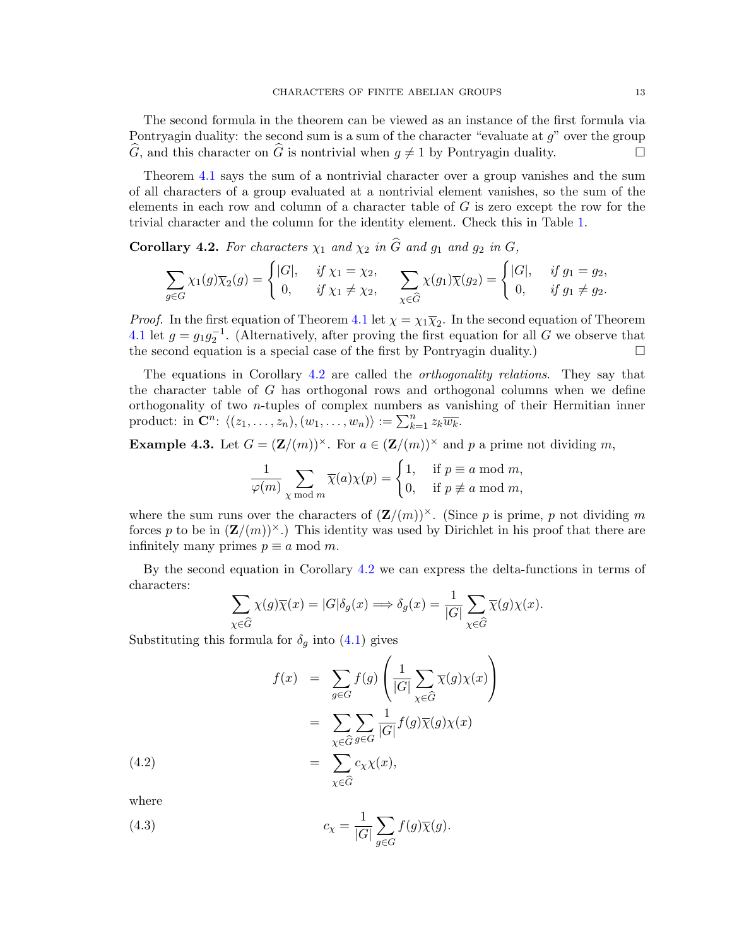The second formula in the theorem can be viewed as an instance of the first formula via Pontryagin duality: the second sum is a sum of the character "evaluate at  $q$ " over the group  $\widehat{G}$ , and this character on  $\widehat{G}$  is nontrivial when  $g \neq 1$  by Pontryagin duality.

Theorem [4.1](#page-11-2) says the sum of a nontrivial character over a group vanishes and the sum of all characters of a group evaluated at a nontrivial element vanishes, so the sum of the elements in each row and column of a character table of  $G$  is zero except the row for the trivial character and the column for the identity element. Check this in Table [1.](#page-0-0)

<span id="page-12-0"></span>Corollary 4.2. For characters  $\chi_1$  and  $\chi_2$  in  $\widehat{G}$  and  $g_1$  and  $g_2$  in  $G$ ,

$$
\sum_{g \in G} \chi_1(g) \overline{\chi}_2(g) = \begin{cases} |G|, & \text{if } \chi_1 = \chi_2, \\ 0, & \text{if } \chi_1 \neq \chi_2, \end{cases} \sum_{\chi \in \widehat{G}} \chi(g_1) \overline{\chi}(g_2) = \begin{cases} |G|, & \text{if } g_1 = g_2, \\ 0, & \text{if } g_1 \neq g_2. \end{cases}
$$

*Proof.* In the first equation of Theorem [4.1](#page-11-2) let  $\chi = \chi_1 \overline{\chi}_2$ . In the second equation of Theorem [4.1](#page-11-2) let  $g = g_1 g_2^{-1}$ . (Alternatively, after proving the first equation for all G we observe that the second equation is a special case of the first by Pontryagin duality.)  $\Box$ 

The equations in Corollary [4.2](#page-12-0) are called the orthogonality relations. They say that the character table of G has orthogonal rows and orthogonal columns when we define orthogonality of two n-tuples of complex numbers as vanishing of their Hermitian inner product: in  $\mathbf{C}^n$ :  $\langle (z_1, \ldots, z_n), (w_1, \ldots, w_n) \rangle := \sum_{k=1}^n z_k \overline{w_k}$ .

**Example 4.3.** Let  $G = (\mathbf{Z}/(m))^{\times}$ . For  $a \in (\mathbf{Z}/(m))^{\times}$  and p a prime not dividing m,

$$
\frac{1}{\varphi(m)} \sum_{\chi \bmod m} \overline{\chi}(a) \chi(p) = \begin{cases} 1, & \text{if } p \equiv a \bmod m, \\ 0, & \text{if } p \not\equiv a \bmod m, \end{cases}
$$

where the sum runs over the characters of  $(\mathbf{Z}/(m))^\times$ . (Since p is prime, p not dividing m forces p to be in  $(\mathbf{Z}/(m))^{x}$ .) This identity was used by Dirichlet in his proof that there are infinitely many primes  $p \equiv a \mod m$ .

By the second equation in Corollary [4.2](#page-12-0) we can express the delta-functions in terms of characters:

<span id="page-12-1"></span>
$$
\sum_{\chi \in \widehat{G}} \chi(g)\overline{\chi}(x) = |G|\delta_g(x) \Longrightarrow \delta_g(x) = \frac{1}{|G|} \sum_{\chi \in \widehat{G}} \overline{\chi}(g)\chi(x).
$$

Substituting this formula for  $\delta_g$  into [\(4.1\)](#page-11-1) gives

(4.2)  
\n
$$
f(x) = \sum_{g \in G} f(g) \left( \frac{1}{|G|} \sum_{\chi \in \widehat{G}} \overline{\chi}(g) \chi(x) \right)
$$
\n
$$
= \sum_{\chi \in \widehat{G}} \sum_{g \in G} \frac{1}{|G|} f(g) \overline{\chi}(g) \chi(x)
$$
\n
$$
= \sum_{\chi \in \widehat{G}} c_{\chi} \chi(x),
$$

<span id="page-12-2"></span>where

(4.3) 
$$
c_{\chi} = \frac{1}{|G|} \sum_{g \in G} f(g) \overline{\chi}(g).
$$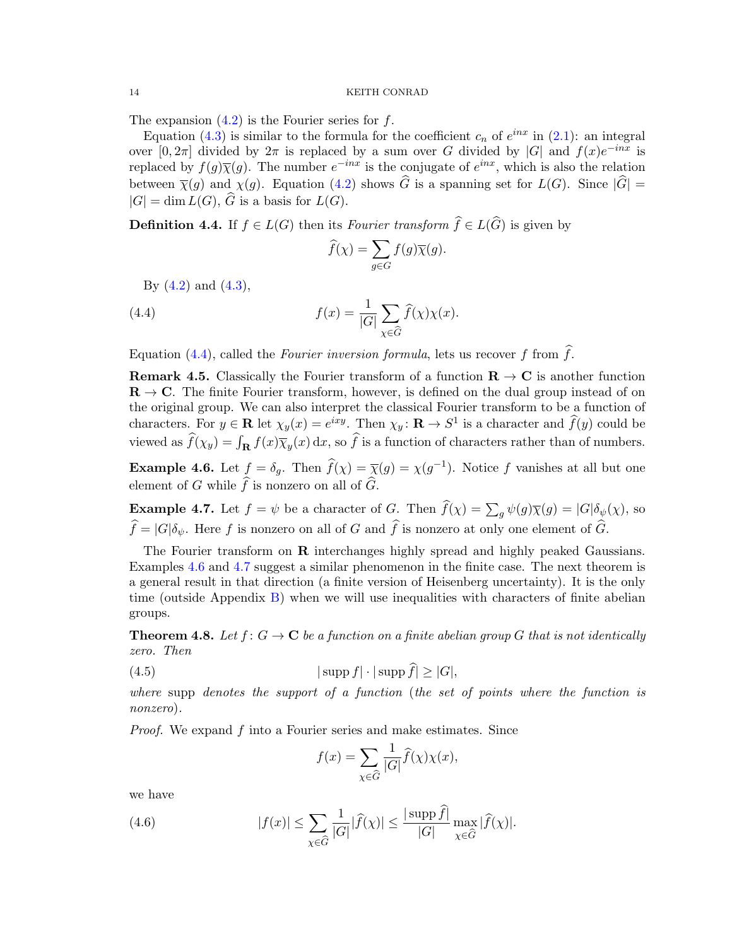The expansion  $(4.2)$  is the Fourier series for f.

Equation [\(4.3\)](#page-12-2) is similar to the formula for the coefficient  $c_n$  of  $e^{inx}$  in [\(2.1\)](#page-1-1): an integral over [0, 2π] divided by  $2\pi$  is replaced by a sum over G divided by |G| and  $f(x)e^{-inx}$  is replaced by  $f(g)\overline{\chi}(g)$ . The number  $e^{-inx}$  is the conjugate of  $e^{inx}$ , which is also the relation between  $\overline{\chi}(g)$  and  $\chi(g)$ . Equation [\(4.2\)](#page-12-1) shows  $\widehat{G}$  is a spanning set for  $L(G)$ . Since  $|\widehat{G}| =$  $|G| = \dim L(G)$ ,  $\widehat{G}$  is a basis for  $L(G)$ .

**Definition 4.4.** If  $f \in L(G)$  then its *Fourier transform*  $\widehat{f} \in L(\widehat{G})$  is given by

<span id="page-13-0"></span>
$$
\widehat{f}(\chi) = \sum_{g \in G} f(g) \overline{\chi}(g).
$$

By  $(4.2)$  and  $(4.3)$ ,

(4.4) 
$$
f(x) = \frac{1}{|G|} \sum_{\chi \in \widehat{G}} \widehat{f}(\chi) \chi(x).
$$

Equation [\(4.4\)](#page-13-0), called the Fourier inversion formula, lets us recover f from  $\hat{f}$ .

**Remark 4.5.** Classically the Fourier transform of a function  $\mathbf{R} \to \mathbf{C}$  is another function  $\mathbf{R} \to \mathbf{C}$ . The finite Fourier transform, however, is defined on the dual group instead of on the original group. We can also interpret the classical Fourier transform to be a function of characters. For  $y \in \mathbb{R}$  let  $\chi_y(x) = e^{ixy}$ . Then  $\chi_y \colon \mathbb{R} \to S^1$  is a character and  $\widehat{f}(y)$  could be viewed as  $\hat{f}(\chi_y) = \int_{\mathbf{R}} f(x)\overline{\chi}_y(x) dx$ , so f is a function of characters rather than of numbers.

<span id="page-13-1"></span>**Example 4.6.** Let  $f = \delta_g$ . Then  $\widehat{f}(\chi) = \overline{\chi}(g) = \chi(g^{-1})$ . Notice f vanishes at all but one element of G while  $\widehat{f}$  is nonzero on all of  $\widehat{G}$ .

<span id="page-13-2"></span>**Example 4.7.** Let  $f = \psi$  be a character of G. Then  $f(\chi) = \sum_g \psi(g)\overline{\chi}(g) = |G|\delta_{\psi}(\chi)$ , so  $\widehat{f} = |G|\delta_{\psi}$ . Here f is nonzero on all of G and  $\widehat{f}$  is nonzero at only one element of  $\widehat{G}$ .

The Fourier transform on **R** interchanges highly spread and highly peaked Gaussians. Examples [4.6](#page-13-1) and [4.7](#page-13-2) suggest a similar phenomenon in the finite case. The next theorem is a general result in that direction (a finite version of Heisenberg uncertainty). It is the only time (outside Appendix [B\)](#page-23-0) when we will use inequalities with characters of finite abelian groups.

<span id="page-13-5"></span>**Theorem 4.8.** Let  $f: G \to \mathbf{C}$  be a function on a finite abelian group G that is not identically zero. Then

(4.5) 
$$
|\operatorname{supp} f| \cdot |\operatorname{supp} \widehat{f}| \ge |G|,
$$

where supp denotes the support of a function (the set of points where the function is nonzero).

Proof. We expand f into a Fourier series and make estimates. Since

<span id="page-13-4"></span><span id="page-13-3"></span>
$$
f(x) = \sum_{\chi \in \widehat{G}} \frac{1}{|G|} \widehat{f}(\chi) \chi(x),
$$

we have

(4.6) 
$$
|f(x)| \leq \sum_{\chi \in \widehat{G}} \frac{1}{|G|} |\widehat{f}(\chi)| \leq \frac{|\operatorname{supp} f|}{|G|} \max_{\chi \in \widehat{G}} |\widehat{f}(\chi)|.
$$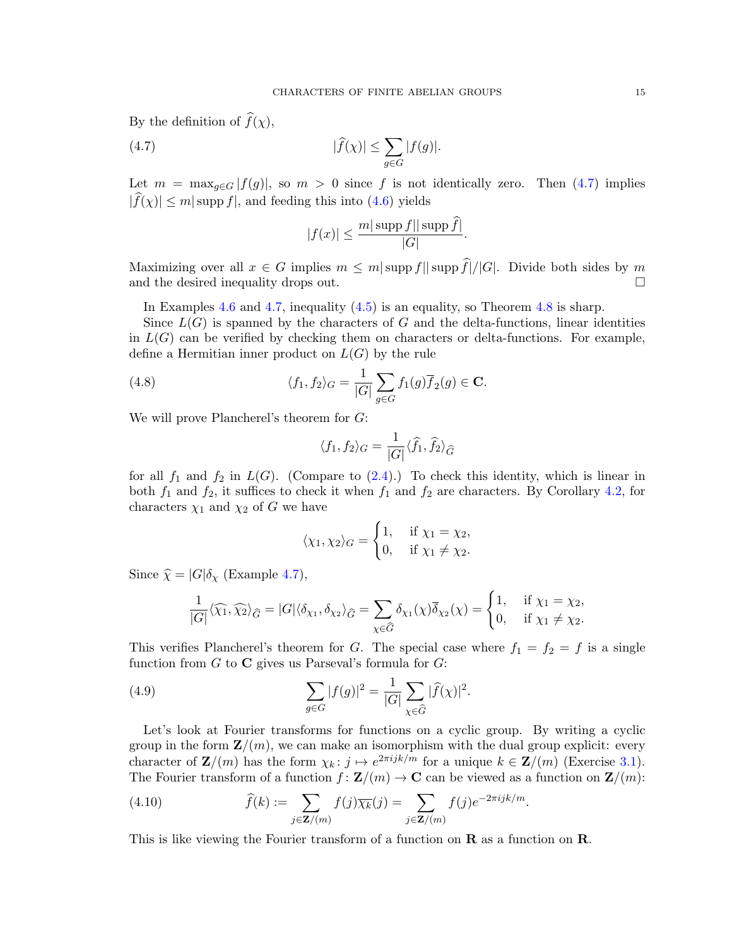By the definition of  $\widehat{f}(\chi)$ ,

(4.7) 
$$
|\widehat{f}(\chi)| \leq \sum_{g \in G} |f(g)|.
$$

Let  $m = \max_{q \in G} |f(g)|$ , so  $m > 0$  since f is not identically zero. Then [\(4.7\)](#page-14-0) implies  $|f(x)| \le m |\text{supp } f|$ , and feeding this into [\(4.6\)](#page-13-3) yields

<span id="page-14-0"></span>
$$
|f(x)| \le \frac{m|\operatorname{supp} f||\operatorname{supp} \tilde{f}|}{|G|}.
$$

Maximizing over all  $x \in G$  implies  $m \le m |\text{supp } f|| \text{supp } \widehat{f}|/|G|$ . Divide both sides by  $m$  and the desired inequality drops out. and the desired inequality drops out.

In Examples [4.6](#page-13-1) and [4.7,](#page-13-2) inequality [\(4.5\)](#page-13-4) is an equality, so Theorem [4.8](#page-13-5) is sharp.

Since  $L(G)$  is spanned by the characters of G and the delta-functions, linear identities in  $L(G)$  can be verified by checking them on characters or delta-functions. For example, define a Hermitian inner product on  $L(G)$  by the rule

(4.8) 
$$
\langle f_1, f_2 \rangle_G = \frac{1}{|G|} \sum_{g \in G} f_1(g) \overline{f}_2(g) \in \mathbf{C}.
$$

We will prove Plancherel's theorem for G:

$$
\langle f_1, f_2 \rangle_G = \frac{1}{|G|} \langle \widehat{f}_1, \widehat{f}_2 \rangle_{\widehat{G}}
$$

for all  $f_1$  and  $f_2$  in  $L(G)$ . (Compare to  $(2.4)$ .) To check this identity, which is linear in both  $f_1$  and  $f_2$ , it suffices to check it when  $f_1$  and  $f_2$  are characters. By Corollary [4.2,](#page-12-0) for characters  $\chi_1$  and  $\chi_2$  of G we have

$$
\langle \chi_1, \chi_2 \rangle_G = \begin{cases} 1, & \text{if } \chi_1 = \chi_2, \\ 0, & \text{if } \chi_1 \neq \chi_2. \end{cases}
$$

Since  $\hat{\chi} = |G|\delta_{\chi}$  (Example [4.7\)](#page-13-2),

$$
\frac{1}{|G|}\langle\widehat{\chi_1},\widehat{\chi_2}\rangle_{\widehat{G}}=|G|\langle\delta_{\chi_1},\delta_{\chi_2}\rangle_{\widehat{G}}=\sum_{\chi\in\widehat{G}}\delta_{\chi_1}(\chi)\overline{\delta}_{\chi_2}(\chi)=\begin{cases}1,&\text{if }\chi_1=\chi_2,\\0,&\text{if }\chi_1\neq\chi_2.\end{cases}
$$

This verifies Plancherel's theorem for G. The special case where  $f_1 = f_2 = f$  is a single function from  $G$  to  $C$  gives us Parseval's formula for  $G$ :

(4.9) 
$$
\sum_{g \in G} |f(g)|^2 = \frac{1}{|G|} \sum_{\chi \in \widehat{G}} |\widehat{f}(\chi)|^2.
$$

Let's look at Fourier transforms for functions on a cyclic group. By writing a cyclic group in the form  $\mathbf{Z}/(m)$ , we can make an isomorphism with the dual group explicit: every character of  $\mathbf{Z}/(m)$  has the form  $\chi_k: j \mapsto e^{2\pi i jk/m}$  for a unique  $k \in \mathbf{Z}/(m)$  (Exercise [3.1\)](#page-10-0). The Fourier transform of a function  $f : \mathbf{Z}/(m) \to \mathbf{C}$  can be viewed as a function on  $\mathbf{Z}/(m)$ :

<span id="page-14-1"></span>(4.10) 
$$
\widehat{f}(k) := \sum_{j \in \mathbf{Z}/(m)} f(j) \overline{\chi_k}(j) = \sum_{j \in \mathbf{Z}/(m)} f(j) e^{-2\pi i j k/m}.
$$

This is like viewing the Fourier transform of a function on  $\bf{R}$  as a function on  $\bf{R}$ .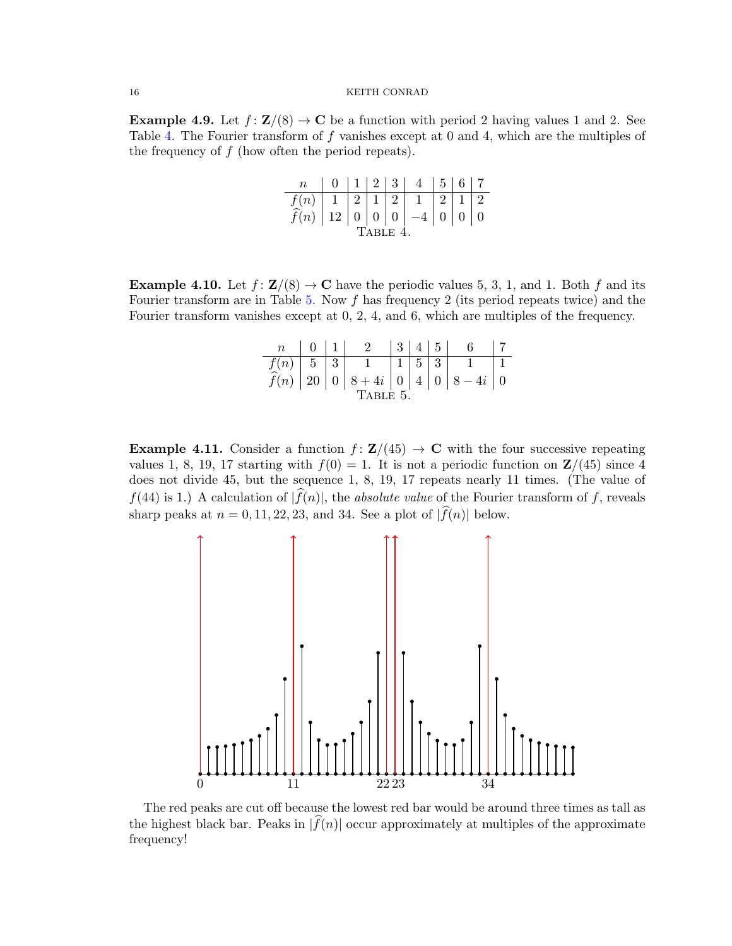<span id="page-15-2"></span>**Example 4.9.** Let  $f: \mathbf{Z}/(8) \to \mathbf{C}$  be a function with period 2 having values 1 and 2. See Table [4.](#page-15-0) The Fourier transform of f vanishes except at 0 and 4, which are the multiples of the frequency of  $f$  (how often the period repeats).

<span id="page-15-0"></span>

| $n_{-}$                                            |  |  |  |  | 0   1   2   3   4   5   6   7 |  |  |  |
|----------------------------------------------------|--|--|--|--|-------------------------------|--|--|--|
| $f(n)$   1   2   1   2   1   2   1   2             |  |  |  |  |                               |  |  |  |
| $\widehat{f}(n)$   12   0   0   0   -4   0   0   0 |  |  |  |  |                               |  |  |  |
| <b>TABLE 4</b>                                     |  |  |  |  |                               |  |  |  |

<span id="page-15-3"></span>**Example 4.10.** Let  $f: \mathbf{Z}/(8) \to \mathbf{C}$  have the periodic values 5, 3, 1, and 1. Both f and its Fourier transform are in Table [5.](#page-15-1) Now f has frequency 2 (its period repeats twice) and the Fourier transform vanishes except at 0, 2, 4, and 6, which are multiples of the frequency.

<span id="page-15-1"></span>

|         | $0 \mid 1 \mid$ |  | 2 345                          |  |  |  |                                                             |  |
|---------|-----------------|--|--------------------------------|--|--|--|-------------------------------------------------------------|--|
|         |                 |  | $f(n)$   5   3   1   1   5   3 |  |  |  |                                                             |  |
|         |                 |  |                                |  |  |  | $\widehat{f}(n)$   20   0   8 + 4i   0   4   0   8 - 4i   0 |  |
| TABLE 5 |                 |  |                                |  |  |  |                                                             |  |

Example 4.11. Consider a function  $f: \mathbf{Z}/(45) \to \mathbf{C}$  with the four successive repeating values 1, 8, 19, 17 starting with  $f(0) = 1$ . It is not a periodic function on  $\mathbb{Z}/(45)$  since 4 does not divide 45, but the sequence 1, 8, 19, 17 repeats nearly 11 times. (The value of  $f(44)$  is 1.) A calculation of  $|f(n)|$ , the *absolute value* of the Fourier transform of f, reveals sharp peaks at  $n = 0, 11, 22, 23$ , and 34. See a plot of  $|\widehat{f}(n)|$  below.



The red peaks are cut off because the lowest red bar would be around three times as tall as the highest black bar. Peaks in  $|f(n)|$  occur approximately at multiples of the approximate frequency!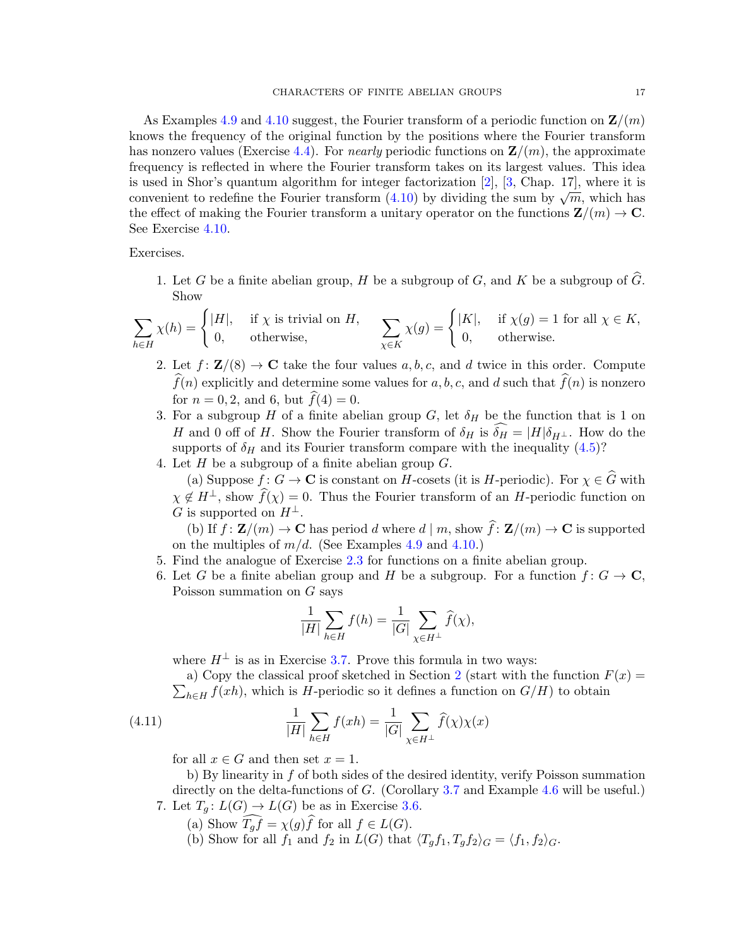As Examples [4.9](#page-15-2) and [4.10](#page-15-3) suggest, the Fourier transform of a periodic function on  $\mathbf{Z}/(m)$ knows the frequency of the original function by the positions where the Fourier transform has nonzero values (Exercise [4.4\)](#page-16-0). For *nearly* periodic functions on  $\mathbf{Z}/(m)$ , the approximate frequency is reflected in where the Fourier transform takes on its largest values. This idea is used in Shor's quantum algorithm for integer factorization  $[2]$ ,  $[3]$ , Chap. 17, where it is is used in shorts quantum algorithm for integer ractorization [2], [5, Chap. 17], where it is<br>convenient to redefine the Fourier transform [\(4.10\)](#page-14-1) by dividing the sum by  $\sqrt{m}$ , which has the effect of making the Fourier transform a unitary operator on the functions  $\mathbf{Z}/(m) \to \mathbf{C}$ . See Exercise [4.10.](#page-17-1)

Exercises.

1. Let G be a finite abelian group, H be a subgroup of G, and K be a subgroup of  $\widehat{G}$ . Show

$$
\sum_{h \in H} \chi(h) = \begin{cases} |H|, & \text{if } \chi \text{ is trivial on } H, \\ 0, & \text{otherwise,} \end{cases} \qquad \sum_{\chi \in K} \chi(g) = \begin{cases} |K|, & \text{if } \chi(g) = 1 \text{ for all } \chi \in K, \\ 0, & \text{otherwise.} \end{cases}
$$

- 2. Let  $f: \mathbf{Z}/(8) \to \mathbf{C}$  take the four values a, b, c, and d twice in this order. Compute  $\widehat{f}(n)$  explicitly and determine some values for a, b, c, and d such that  $\widehat{f}(n)$  is nonzero for  $n = 0, 2$ , and 6, but  $f(4) = 0$ .
- <span id="page-16-0"></span>3. For a subgroup H of a finite abelian group G, let  $\delta_H$  be the function that is 1 on H and 0 off of H. Show the Fourier transform of  $\delta_H$  is  $\delta_H = |H|\delta_{H^{\perp}}$ . How do the supports of  $\delta_H$  and its Fourier transform compare with the inequality [\(4.5\)](#page-13-4)? 4. Let  $H$  be a subgroup of a finite abelian group  $G$ .
	- (a) Suppose  $f: G \to \mathbf{C}$  is constant on  $H$ -cosets (it is H-periodic). For  $\chi \in \widehat{G}$  with  $\chi \notin H^{\perp}$ , show  $\widehat{f}(\chi) = 0$ . Thus the Fourier transform of an H-periodic function on G is supported on  $H^{\perp}$ .

(b) If  $f: \mathbf{Z}/(m) \to \mathbf{C}$  has period d where  $d \mid m$ , show  $\widehat{f}: \mathbf{Z}/(m) \to \mathbf{C}$  is supported on the multiples of  $m/d$ . (See Examples [4.9](#page-15-2) and [4.10.](#page-15-3))

- 5. Find the analogue of Exercise [2.3](#page-5-3) for functions on a finite abelian group.
- 6. Let G be a finite abelian group and H be a subgroup. For a function  $f: G \to \mathbb{C}$ , Poisson summation on  $G$  says

<span id="page-16-1"></span>
$$
\frac{1}{|H|} \sum_{h \in H} f(h) = \frac{1}{|G|} \sum_{\chi \in H^{\perp}} \widehat{f}(\chi),
$$

where  $H^{\perp}$  is as in Exercise [3.7.](#page-11-3) Prove this formula in two ways:

 $\sum_{h\in H} f(xh)$ , which is H-periodic so it defines a function on  $G/H$ ) to obtain a) Copy the classical proof sketched in Section [2](#page-1-0) (start with the function  $F(x) =$ 

(4.11) 
$$
\frac{1}{|H|} \sum_{h \in H} f(xh) = \frac{1}{|G|} \sum_{\chi \in H^{\perp}} \hat{f}(\chi) \chi(x)
$$

for all  $x \in G$  and then set  $x = 1$ .

b) By linearity in f of both sides of the desired identity, verify Poisson summation directly on the delta-functions of G. (Corollary [3.7](#page-7-2) and Example [4.6](#page-13-1) will be useful.) 7. Let  $T_g: L(G) \to L(G)$  be as in Exercise [3.6.](#page-10-1)

- (a) Show  $T_g f = \chi(g)f$  for all  $f \in L(G)$ .
- (b) Show for all  $f_1$  and  $f_2$  in  $L(G)$  that  $\langle T_g f_1, T_g f_2 \rangle_G = \langle f_1, f_2 \rangle_G$ .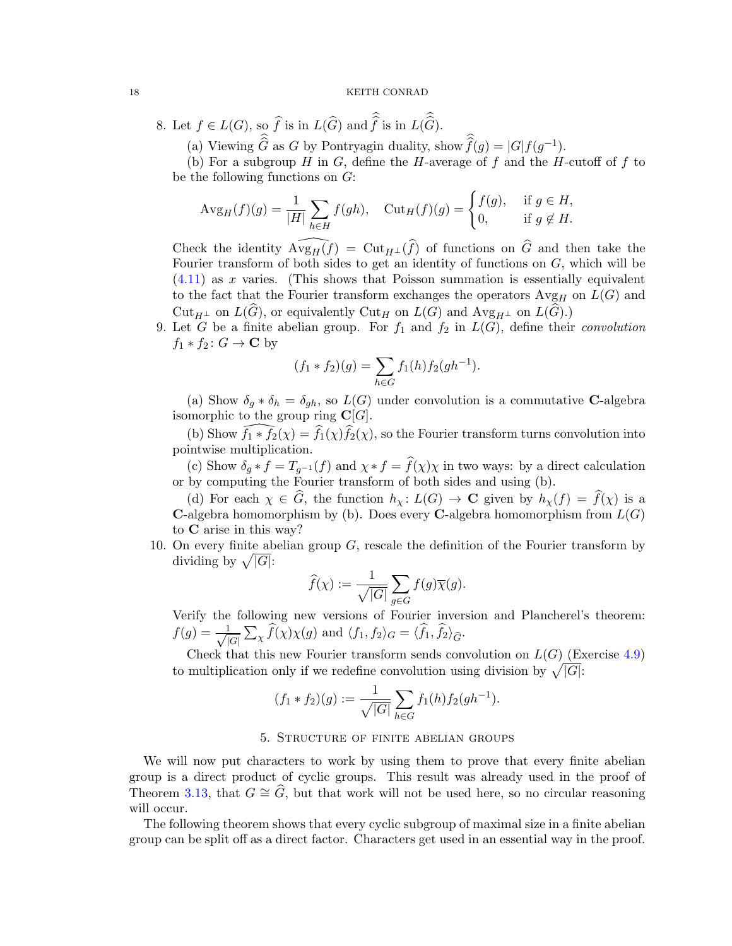8. Let  $f \in L(G)$ , so f is in  $L(G)$  and f is in  $L(G)$ .

(a) Viewing  $\widehat{G}$  as G by Pontryagin duality, show  $\widehat{f}(g) = |G|f(g^{-1}).$ 

(b) For a subgroup H in G, define the H-average of f and the H-cutoff of f to be the following functions on  $G$ :

$$
\text{Avg}_{H}(f)(g) = \frac{1}{|H|} \sum_{h \in H} f(gh), \quad \text{Cut}_{H}(f)(g) = \begin{cases} f(g), & \text{if } g \in H, \\ 0, & \text{if } g \notin H. \end{cases}
$$

Check the identity  $\widehat{\mathrm{Avg}_{H}(f)} = \mathrm{Cut}_{H^{\perp}}(\widehat{f})$  of functions on  $\widehat{G}$  and then take the Fourier transform of both sides to get an identity of functions on  $G$ , which will be  $(4.11)$  as x varies. (This shows that Poisson summation is essentially equivalent to the fact that the Fourier transform exchanges the operators  $Avg_H$  on  $L(G)$  and  $Cut_{H^{\perp}}$  on  $L(\widehat{G})$ , or equivalently  $Cut_H$  on  $L(G)$  and  $Avg_{H^{\perp}}$  on  $L(G)$ .)

<span id="page-17-2"></span>9. Let G be a finite abelian group. For  $f_1$  and  $f_2$  in  $L(G)$ , define their convolution  $f_1 * f_2 : G \to \mathbf{C}$  by

$$
(f_1 * f_2)(g) = \sum_{h \in G} f_1(h) f_2(gh^{-1}).
$$

(a) Show  $\delta_q * \delta_h = \delta_{gh}$ , so  $L(G)$  under convolution is a commutative **C**-algebra isomorphic to the group ring  $\mathbf{C}[G]$ .

(b) Show  $f_1 * f_2(\chi) = \hat{f}_1(\chi)\hat{f}_2(\chi)$ , so the Fourier transform turns convolution into pointwise multiplication.

(c) Show  $\delta_g * f = T_{g^{-1}}(f)$  and  $\chi * f = \hat{f}(\chi)\chi$  in two ways: by a direct calculation or by computing the Fourier transform of both sides and using (b).

(d) For each  $\chi \in \widehat{G}$ , the function  $h_{\chi} : L(G) \to \mathbf{C}$  given by  $h_{\chi}(f) = \widehat{f}(\chi)$  is a **C-algebra homomorphism by (b).** Does every **C-algebra homomorphism from**  $L(G)$ to C arise in this way?

<span id="page-17-1"></span>10. On every finite abelian group  $G$ , rescale the definition of the Fourier transform by dividing by  $\sqrt{|G|}$ :

$$
\widehat{f}(\chi):=\frac{1}{\sqrt{|G|}}\sum_{g\in G}f(g)\overline{\chi}(g).
$$

Verify the following new versions of Fourier inversion and Plancherel's theorem:  $f(g) = \frac{1}{\sqrt{1}}$  $\frac{1}{|G|}\sum_{\chi} f(\chi)\chi(g)$  and  $\langle f_1, f_2\rangle_G = \langle f_1, f_2\rangle_{\widehat{G}}$ .

Check that this new Fourier transform sends convolution on  $L(G)$  (Exercise [4.9\)](#page-17-2) to multiplication only if we redefine convolution using division by  $\sqrt{|G|}$ :

$$
(f_1 * f_2)(g) := \frac{1}{\sqrt{|G|}} \sum_{h \in G} f_1(h) f_2(gh^{-1}).
$$

# 5. Structure of finite abelian groups

<span id="page-17-0"></span>We will now put characters to work by using them to prove that every finite abelian group is a direct product of cyclic groups. This result was already used in the proof of Theorem [3.13,](#page-8-5) that  $G \cong \widehat{G}$ , but that work will not be used here, so no circular reasoning will occur.

The following theorem shows that every cyclic subgroup of maximal size in a finite abelian group can be split off as a direct factor. Characters get used in an essential way in the proof.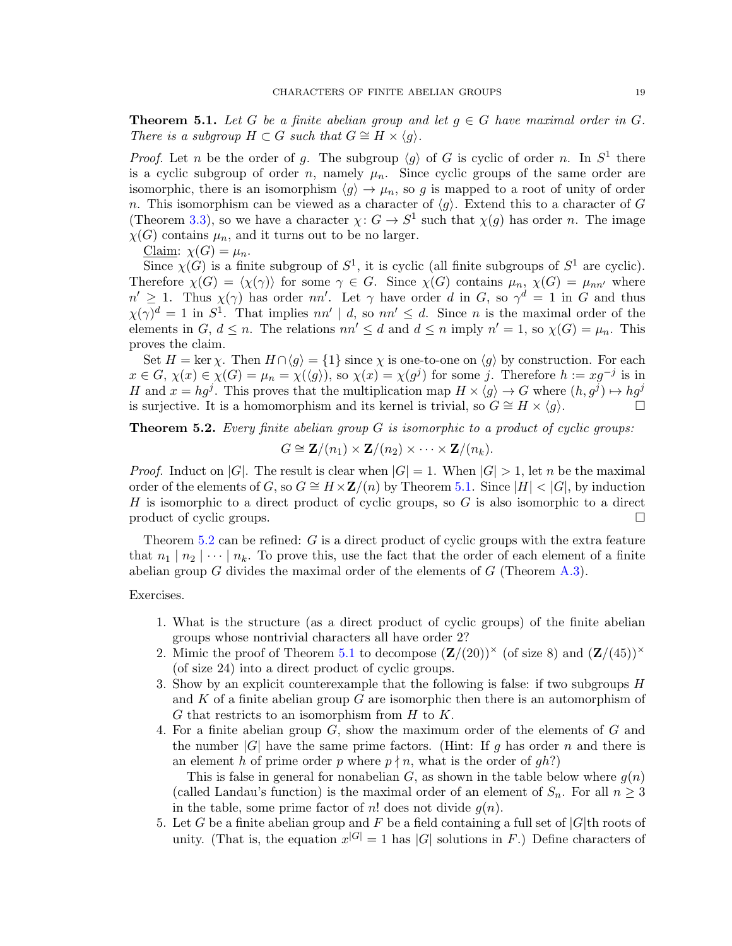<span id="page-18-0"></span>**Theorem 5.1.** Let G be a finite abelian group and let  $g \in G$  have maximal order in G. There is a subgroup  $H \subset G$  such that  $G \cong H \times \langle q \rangle$ .

*Proof.* Let *n* be the order of g. The subgroup  $\langle g \rangle$  of G is cyclic of order *n*. In  $S^1$  there is a cyclic subgroup of order n, namely  $\mu_n$ . Since cyclic groups of the same order are isomorphic, there is an isomorphism  $\langle g \rangle \to \mu_n$ , so g is mapped to a root of unity of order n. This isomorphism can be viewed as a character of  $\langle q \rangle$ . Extend this to a character of G (Theorem [3.3\)](#page-6-1), so we have a character  $\chi: G \to S^1$  such that  $\chi(g)$  has order n. The image  $\chi(G)$  contains  $\mu_n$ , and it turns out to be no larger.

Claim:  $\chi(G) = \mu_n$ .

Since  $\chi(G)$  is a finite subgroup of  $S^1$ , it is cyclic (all finite subgroups of  $S^1$  are cyclic). Therefore  $\chi(G) = \langle \chi(\gamma) \rangle$  for some  $\gamma \in G$ . Since  $\chi(G)$  contains  $\mu_n$ ,  $\chi(G) = \mu_{nn'}$  where  $n' \geq 1$ . Thus  $\chi(\gamma)$  has order nn'. Let  $\gamma$  have order d in G, so  $\gamma^d = 1$  in G and thus  $\chi(\gamma)^d = 1$  in  $S^1$ . That implies  $nn' \mid d$ , so  $nn' \leq d$ . Since *n* is the maximal order of the elements in  $G, d \leq n$ . The relations  $nn' \leq d$  and  $d \leq n$  imply  $n' = 1$ , so  $\chi(G) = \mu_n$ . This proves the claim.

Set  $H = \ker \chi$ . Then  $H \cap \langle g \rangle = \{1\}$  since  $\chi$  is one-to-one on  $\langle g \rangle$  by construction. For each  $x \in G$ ,  $\chi(x) \in \chi(G) = \mu_n = \chi(\langle g \rangle)$ , so  $\chi(x) = \chi(g^j)$  for some j. Therefore  $h := xg^{-j}$  is in H and  $x = hg^j$ . This proves that the multiplication map  $H \times \langle g \rangle \to G$  where  $(h, g^j) \mapsto hg^j$ is surjective. It is a homomorphism and its kernel is trivial, so  $G \cong H \times \langle g \rangle$ .  $\Box$ 

<span id="page-18-1"></span>**Theorem 5.2.** Every finite abelian group  $G$  is isomorphic to a product of cyclic groups:

 $G \cong \mathbf{Z}/(n_1) \times \mathbf{Z}/(n_2) \times \cdots \times \mathbf{Z}/(n_k).$ 

*Proof.* Induct on |G|. The result is clear when  $|G| = 1$ . When  $|G| > 1$ , let n be the maximal order of the elements of G, so  $G \cong H \times \mathbb{Z}/(n)$  by Theorem [5.1.](#page-18-0) Since  $|H| < |G|$ , by induction H is isomorphic to a direct product of cyclic groups, so  $G$  is also isomorphic to a direct product of cyclic groups.

Theorem [5.2](#page-18-1) can be refined: G is a direct product of cyclic groups with the extra feature that  $n_1 | n_2 | \cdots | n_k$ . To prove this, use the fact that the order of each element of a finite abelian group G divides the maximal order of the elements of  $G$  (Theorem [A.3\)](#page-23-1).

Exercises.

- 1. What is the structure (as a direct product of cyclic groups) of the finite abelian groups whose nontrivial characters all have order 2?
- 2. Mimic the proof of Theorem [5.1](#page-18-0) to decompose  $(\mathbf{Z}/(20))^{\times}$  (of size 8) and  $(\mathbf{Z}/(45))^{\times}$ (of size 24) into a direct product of cyclic groups.
- 3. Show by an explicit counterexample that the following is false: if two subgroups H and  $K$  of a finite abelian group  $G$  are isomorphic then there is an automorphism of  $G$  that restricts to an isomorphism from  $H$  to  $K$ .
- 4. For a finite abelian group G, show the maximum order of the elements of G and the number  $|G|$  have the same prime factors. (Hint: If g has order n and there is an element h of prime order p where  $p \nmid n$ , what is the order of gh?)

This is false in general for nonabelian  $G$ , as shown in the table below where  $g(n)$ (called Landau's function) is the maximal order of an element of  $S_n$ . For all  $n \geq 3$ in the table, some prime factor of n! does not divide  $g(n)$ .

5. Let G be a finite abelian group and F be a field containing a full set of  $|G|$ th roots of unity. (That is, the equation  $x^{|G|} = 1$  has |G| solutions in F.) Define characters of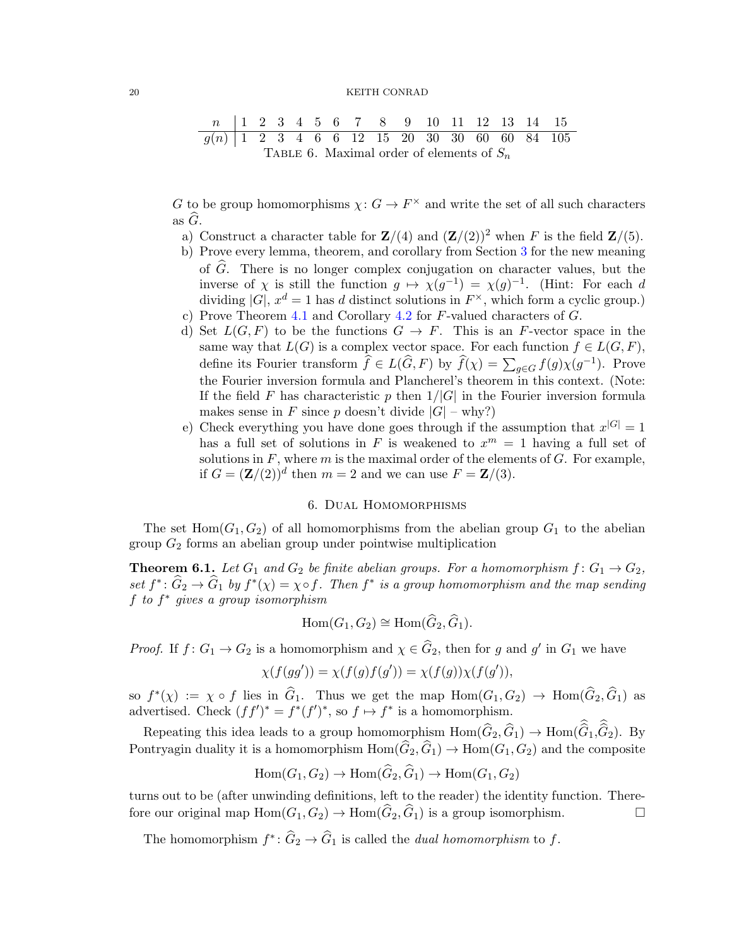| n      | 1 | 2 | 3 | 4 | 5 | 6 | 7  | 8  | 9  | 10 | 11 | 12 | 13 | 14 | 15  |
|--------|---|---|---|---|---|---|----|----|----|----|----|----|----|----|-----|
| $g(n)$ | 1 | 2 | 3 | 4 | 6 | 6 | 12 | 15 | 20 | 30 | 30 | 60 | 60 | 84 | 105 |

\nTABLE 6. Maximal order of elements of  $S_n$ 

G to be group homomorphisms  $\chi: G \to F^\times$  and write the set of all such characters as  $\ddot{G}$ .

- a) Construct a character table for  $\mathbf{Z}/(4)$  and  $(\mathbf{Z}/(2))^2$  when F is the field  $\mathbf{Z}/(5)$ .
- b) Prove every lemma, theorem, and corollary from Section [3](#page-5-0) for the new meaning of  $\widehat{G}$ . There is no longer complex conjugation on character values, but the inverse of  $\chi$  is still the function  $g \mapsto \chi(g^{-1}) = \chi(g)^{-1}$ . (Hint: For each d dividing |G|,  $x^d = 1$  has d distinct solutions in  $F^{\times}$ , which form a cyclic group.) c) Prove Theorem [4.1](#page-11-2) and Corollary [4.2](#page-12-0) for  $F$ -valued characters of  $G$ .
- d) Set  $L(G, F)$  to be the functions  $G \to F$ . This is an F-vector space in the same way that  $L(G)$  is a complex vector space. For each function  $f \in L(G, F)$ , define its Fourier transform  $\widehat{f} \in L(\widehat{G}, F)$  by  $\widehat{f}(\chi) = \sum_{g \in G} f(g) \chi(g^{-1})$ . Prove the Fourier inversion formula and Plancherel's theorem in this context. (Note: If the field F has characteristic p then  $1/|G|$  in the Fourier inversion formula makes sense in F since p doesn't divide  $|G|$  – why?)
- e) Check everything you have done goes through if the assumption that  $x^{|G|} = 1$ has a full set of solutions in F is weakened to  $x^m = 1$  having a full set of solutions in  $F$ , where  $m$  is the maximal order of the elements of  $G$ . For example, if  $G = (\mathbf{Z}/(2))^d$  then  $m = 2$  and we can use  $F = \mathbf{Z}/(3)$ .

## 6. Dual Homomorphisms

<span id="page-19-0"></span>The set  $Hom(G_1, G_2)$  of all homomorphisms from the abelian group  $G_1$  to the abelian group  $G_2$  forms an abelian group under pointwise multiplication

<span id="page-19-1"></span>**Theorem 6.1.** Let  $G_1$  and  $G_2$  be finite abelian groups. For a homomorphism  $f: G_1 \rightarrow G_2$ , set  $f^*$ :  $\widehat{G}_2 \to \widehat{G}_1$  by  $f^*(\chi) = \chi \circ f$ . Then  $f^*$  is a group homomorphism and the map sending f to  $f^*$  gives a group isomorphism

$$
Hom(G_1, G_2) \cong Hom(\widehat{G}_2, \widehat{G}_1).
$$

*Proof.* If  $f: G_1 \to G_2$  is a homomorphism and  $\chi \in \widehat{G}_2$ , then for g and g' in  $G_1$  we have

$$
\chi(f(gg')) = \chi(f(g)f(g')) = \chi(f(g))\chi(f(g')),
$$

so  $f^*(\chi) := \chi \circ f$  lies in  $\hat{G}_1$ . Thus we get the map  $Hom(G_1, G_2) \to Hom(\hat{G}_2, \hat{G}_1)$  as advertised. Check  $(f f')^* = f^*(f')^*$ , so  $f \mapsto f^*$  is a homomorphism.

Repeating this idea leads to a group homomorphism  $\text{Hom}(\widehat{G}_2, \widehat{G}_1) \to \text{Hom}(\widehat{G}_1, \widehat{G}_2)$ . By Pontryagin duality it is a homomorphism  $Hom(\widehat{G}_2, \widehat{G}_1) \to Hom(G_1, G_2)$  and the composite

$$
Hom(G_1, G_2) \to Hom(\widehat{G}_2, \widehat{G}_1) \to Hom(G_1, G_2)
$$

turns out to be (after unwinding definitions, left to the reader) the identity function. Therefore our original map  $\text{Hom}(G_1, G_2) \to \text{Hom}(\widehat{G}_2, \widehat{G}_1)$  is a group isomorphism.

The homomorphism  $f^* \colon \widehat{G}_2 \to \widehat{G}_1$  is called the *dual homomorphism* to f.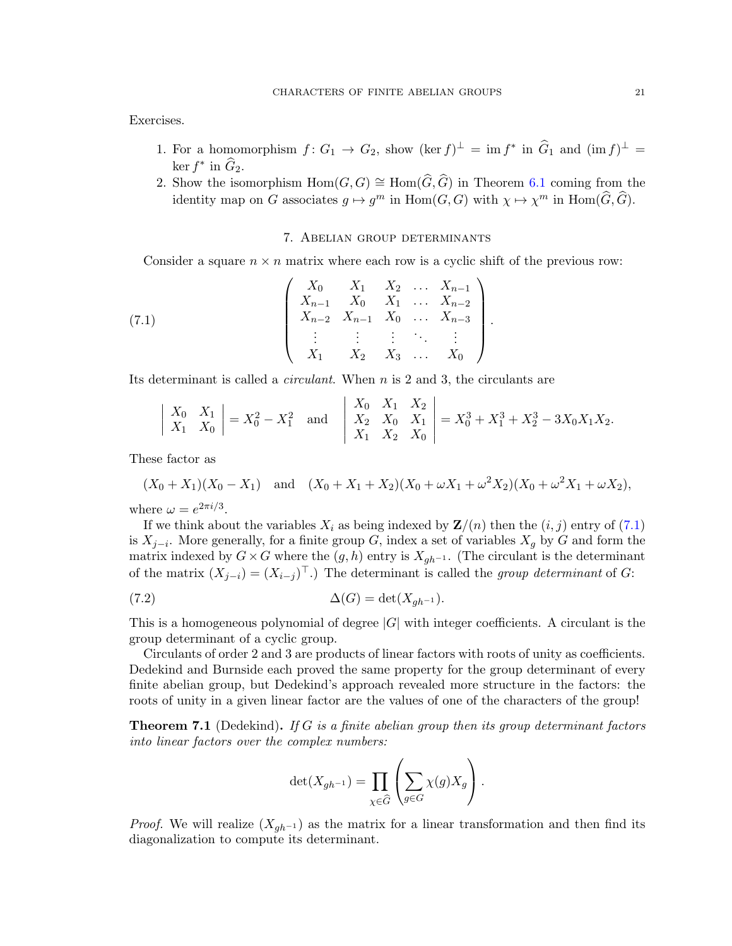Exercises.

- 1. For a homomorphism  $f: G_1 \to G_2$ , show  $(\ker f)^{\perp} = \operatorname{im} f^*$  in  $\widehat{G}_1$  and  $(\operatorname{im} f)^{\perp} =$  $\ker f^*$  in  $\widehat{G}_2$ .
- 2. Show the isomorphism  $Hom(G, G) \cong Hom(\widehat{G}, \widehat{G})$  in Theorem [6.1](#page-19-1) coming from the identity map on G associates  $g \mapsto g^m$  in  $\text{Hom}(G, G)$  with  $\chi \mapsto \chi^m$  in  $\text{Hom}(\widehat{G}, \widehat{G})$ .

## <span id="page-20-1"></span>7. Abelian group determinants

<span id="page-20-0"></span>Consider a square  $n \times n$  matrix where each row is a cyclic shift of the previous row:

(7.1) 
$$
\begin{pmatrix} X_0 & X_1 & X_2 & \dots & X_{n-1} \\ X_{n-1} & X_0 & X_1 & \dots & X_{n-2} \\ X_{n-2} & X_{n-1} & X_0 & \dots & X_{n-3} \\ \vdots & \vdots & \vdots & \ddots & \vdots \\ X_1 & X_2 & X_3 & \dots & X_0 \end{pmatrix}.
$$

Its determinant is called a circulant. When n is 2 and 3, the circulants are

$$
\begin{vmatrix} X_0 & X_1 \\ X_1 & X_0 \end{vmatrix} = X_0^2 - X_1^2
$$
 and  $\begin{vmatrix} X_0 & X_1 & X_2 \\ X_2 & X_0 & X_1 \\ X_1 & X_2 & X_0 \end{vmatrix} = X_0^3 + X_1^3 + X_2^3 - 3X_0X_1X_2.$ 

These factor as

$$
(X_0 + X_1)(X_0 - X_1)
$$
 and  $(X_0 + X_1 + X_2)(X_0 + \omega X_1 + \omega^2 X_2)(X_0 + \omega^2 X_1 + \omega X_2),$ 

where  $\omega = e^{2\pi i/3}$ .

If we think about the variables  $X_i$  as being indexed by  $\mathbf{Z}/(n)$  then the  $(i, j)$  entry of [\(7.1\)](#page-20-1) is  $X_{j-i}$ . More generally, for a finite group G, index a set of variables  $X_g$  by G and form the matrix indexed by  $G \times G$  where the  $(g, h)$  entry is  $X_{gh^{-1}}$ . (The circulant is the determinant of the matrix  $(X_{j-i}) = (X_{i-j})^\top$ .) The determinant is called the group determinant of G:

(7.2) 
$$
\Delta(G) = \det(X_{gh^{-1}}).
$$

This is a homogeneous polynomial of degree  $|G|$  with integer coefficients. A circulant is the group determinant of a cyclic group.

Circulants of order 2 and 3 are products of linear factors with roots of unity as coefficients. Dedekind and Burnside each proved the same property for the group determinant of every finite abelian group, but Dedekind's approach revealed more structure in the factors: the roots of unity in a given linear factor are the values of one of the characters of the group!

**Theorem 7.1** (Dedekind). If G is a finite abelian group then its group determinant factors into linear factors over the complex numbers:

<span id="page-20-2"></span>
$$
\det(X_{gh^{-1}}) = \prod_{\chi \in \widehat{G}} \left( \sum_{g \in G} \chi(g) X_g \right).
$$

*Proof.* We will realize  $(X_{gh^{-1}})$  as the matrix for a linear transformation and then find its diagonalization to compute its determinant.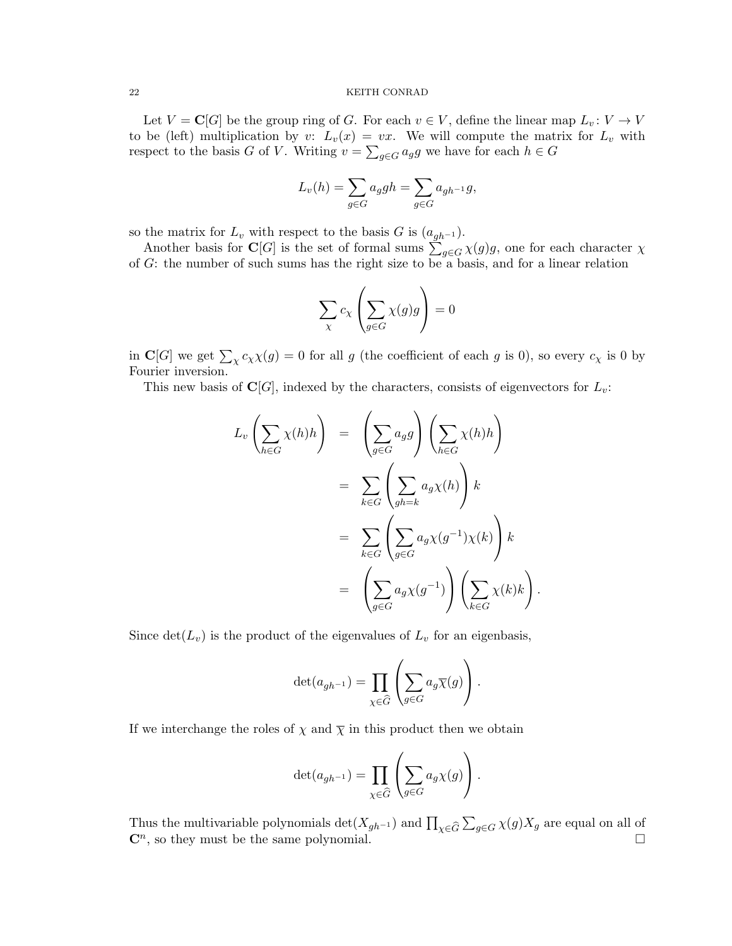Let  $V = \mathbb{C}[G]$  be the group ring of G. For each  $v \in V$ , define the linear map  $L_v : V \to V$ to be (left) multiplication by v:  $L_v(x) = vx$ . We will compute the matrix for  $L_v$  with respect to the basis G of V. Writing  $v = \sum_{g \in G} a_g g$  we have for each  $h \in G$ 

$$
L_v(h) = \sum_{g \in G} a_g g h = \sum_{g \in G} a_{gh^{-1}} g,
$$

so the matrix for  $L_v$  with respect to the basis G is  $(a_{gh^{-1}})$ .

Another basis for C[G] is the set of formal sums  $\sum_{g \in G} \chi(g)g$ , one for each character  $\chi$ of G: the number of such sums has the right size to be a basis, and for a linear relation

$$
\sum_{\chi} c_{\chi} \left( \sum_{g \in G} \chi(g)g \right) = 0
$$

in C[G] we get  $\sum_{\chi} c_{\chi} \chi(g) = 0$  for all g (the coefficient of each g is 0), so every  $c_{\chi}$  is 0 by Fourier inversion.

This new basis of  $\mathbf{C}[G]$ , indexed by the characters, consists of eigenvectors for  $L_v$ :

$$
L_v \left( \sum_{h \in G} \chi(h) h \right) = \left( \sum_{g \in G} a_g g \right) \left( \sum_{h \in G} \chi(h) h \right)
$$
  

$$
= \sum_{k \in G} \left( \sum_{gh=k} a_g \chi(h) \right) k
$$
  

$$
= \sum_{k \in G} \left( \sum_{g \in G} a_g \chi(g^{-1}) \chi(k) \right) k
$$
  

$$
= \left( \sum_{g \in G} a_g \chi(g^{-1}) \right) \left( \sum_{k \in G} \chi(k) k \right).
$$

Since  $\det(L_v)$  is the product of the eigenvalues of  $L_v$  for an eigenbasis,

$$
\det (a_{gh^{-1}}) = \prod_{\chi \in \widehat{G}} \left( \sum_{g \in G} a_g \overline{\chi}(g) \right).
$$

If we interchange the roles of  $\chi$  and  $\overline{\chi}$  in this product then we obtain

$$
\det(a_{gh^{-1}}) = \prod_{\chi \in \widehat{G}} \left( \sum_{g \in G} a_g \chi(g) \right).
$$

Thus the multivariable polynomials  $\det(X_{gh^{-1}})$  and  $\prod_{\chi \in \widehat{G}} \sum_{g \in G} \chi(g) X_g$  are equal on all of  $\mathbb{C}^n$ , so they must be the same polynomial.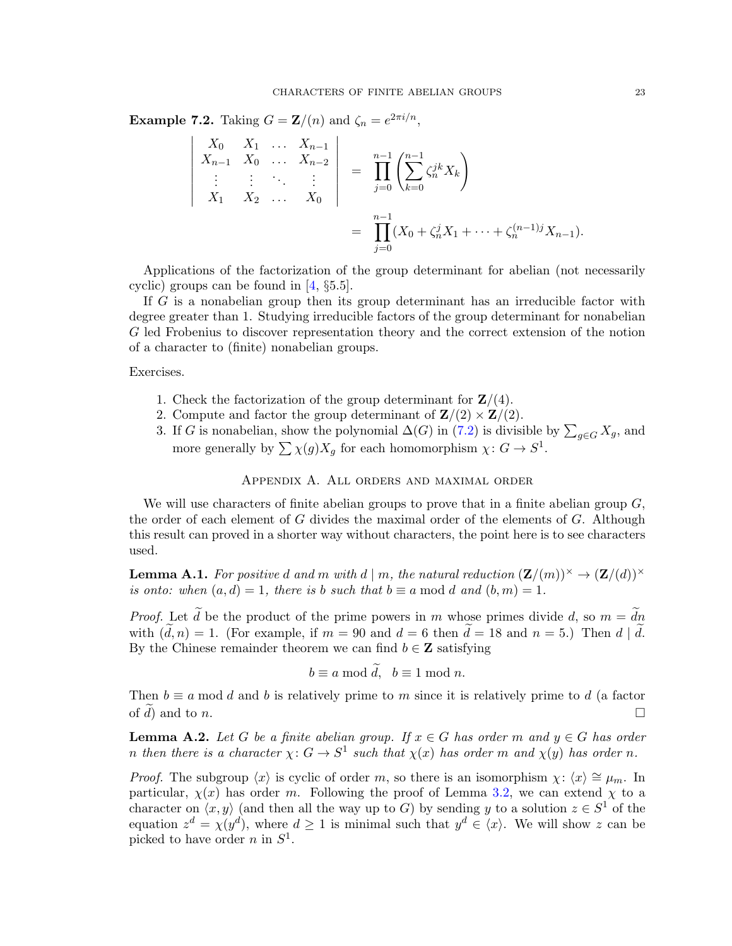**Example 7.2.** Taking  $G = \mathbf{Z}/(n)$  and  $\zeta_n = e^{2\pi i/n}$ ,

$$
\begin{vmatrix} X_0 & X_1 & \dots & X_{n-1} \\ X_{n-1} & X_0 & \dots & X_{n-2} \\ \vdots & \vdots & \ddots & \vdots \\ X_1 & X_2 & \dots & X_0 \end{vmatrix} = \prod_{j=0}^{n-1} \left( \sum_{k=0}^{n-1} \zeta_n^{jk} X_k \right)
$$

$$
= \prod_{j=0}^{n-1} (X_0 + \zeta_n^j X_1 + \dots + \zeta_n^{(n-1)j} X_{n-1}).
$$

Applications of the factorization of the group determinant for abelian (not necessarily cyclic) groups can be found in [\[4,](#page-25-3) §5.5].

If G is a nonabelian group then its group determinant has an irreducible factor with degree greater than 1. Studying irreducible factors of the group determinant for nonabelian G led Frobenius to discover representation theory and the correct extension of the notion of a character to (finite) nonabelian groups.

### Exercises.

- 1. Check the factorization of the group determinant for  $\mathbf{Z}/(4)$ .
- 2. Compute and factor the group determinant of  $\mathbf{Z}/(2) \times \mathbf{Z}/(2)$ .
- 3. If G is nonabelian, show the polynomial  $\Delta(G)$  in [\(7.2\)](#page-20-2) is divisible by  $\sum_{g \in G} X_g$ , and more generally by  $\sum \chi(g)X_g$  for each homomorphism  $\chi: G \to S^1$ .

# Appendix A. All orders and maximal order

We will use characters of finite abelian groups to prove that in a finite abelian group  $G$ , the order of each element of G divides the maximal order of the elements of G. Although this result can proved in a shorter way without characters, the point here is to see characters used.

<span id="page-22-0"></span>**Lemma A.1.** For positive d and m with  $d \mid m$ , the natural reduction  $(\mathbf{Z}/(m))^\times \to (\mathbf{Z}/(d))^\times$ is onto: when  $(a, d) = 1$ , there is b such that  $b \equiv a \mod d$  and  $(b, m) = 1$ .

*Proof.* Let  $\tilde{d}$  be the product of the prime powers in m whose primes divide d, so  $m = \tilde{d}n$ with  $(\tilde{d}, n) = 1$ . (For example, if  $m = 90$  and  $d = 6$  then  $\tilde{d} = 18$  and  $n = 5$ .) Then  $d | \tilde{d}$ . By the Chinese remainder theorem we can find  $b \in \mathbb{Z}$  satisfying

$$
b \equiv a \bmod d, \ \ b \equiv 1 \bmod n.
$$

Then  $b \equiv a \mod d$  and b is relatively prime to m since it is relatively prime to d (a factor of  $\widetilde{d}$ ) and to *n*.

<span id="page-22-1"></span>**Lemma A.2.** Let G be a finite abelian group. If  $x \in G$  has order m and  $y \in G$  has order n then there is a character  $\chi: G \to S^1$  such that  $\chi(x)$  has order m and  $\chi(y)$  has order n.

*Proof.* The subgroup  $\langle x \rangle$  is cyclic of order m, so there is an isomorphism  $\chi : \langle x \rangle \cong \mu_m$ . In particular,  $\chi(x)$  has order m. Following the proof of Lemma [3.2,](#page-5-2) we can extend  $\chi$  to a character on  $\langle x, y \rangle$  (and then all the way up to G) by sending y to a solution  $z \in S^1$  of the equation  $z^d = \chi(y^d)$ , where  $d \geq 1$  is minimal such that  $y^d \in \langle x \rangle$ . We will show z can be picked to have order *n* in  $S^1$ .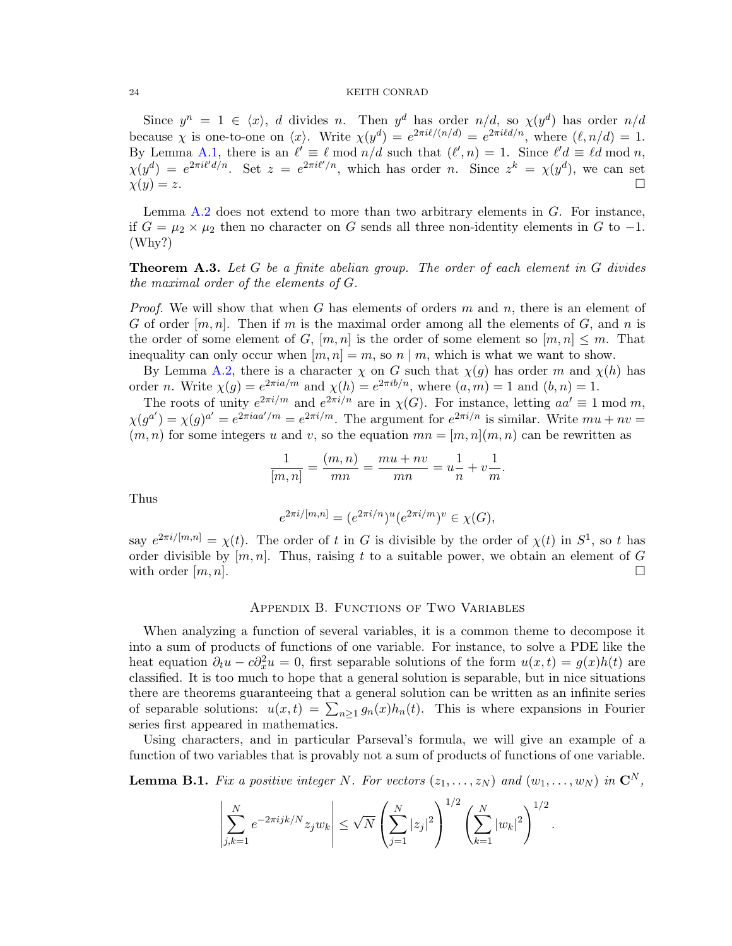Since  $y^n = 1 \in \langle x \rangle$ , d divides n. Then  $y^d$  has order  $n/d$ , so  $\chi(y^d)$  has order  $n/d$ because  $\chi$  is one-to-one on  $\langle x \rangle$ . Write  $\chi(y^d) = e^{2\pi i \ell/(n/d)} = e^{2\pi i \ell d/n}$ , where  $(\ell, n/d) = 1$ . By Lemma [A.1,](#page-22-0) there is an  $\ell' \equiv \ell \mod n/d$  such that  $(\ell', n) = 1$ . Since  $\ell'd \equiv \ell d \mod n$ ,  $\chi(y^d) = e^{2\pi i l' d/n}$ . Set  $z = e^{2\pi i l'/n}$ , which has order n. Since  $z^k = \chi(y^d)$ , we can set  $\chi(y) = z.$ 

Lemma  $A.2$  does not extend to more than two arbitrary elements in  $G$ . For instance, if  $G = \mu_2 \times \mu_2$  then no character on G sends all three non-identity elements in G to -1. (Why?)

<span id="page-23-1"></span>**Theorem A.3.** Let G be a finite abelian group. The order of each element in G divides the maximal order of the elements of G.

*Proof.* We will show that when G has elements of orders m and n, there is an element of G of order  $[m, n]$ . Then if m is the maximal order among all the elements of G, and n is the order of some element of G,  $[m, n]$  is the order of some element so  $[m, n] \leq m$ . That inequality can only occur when  $[m, n] = m$ , so n | m, which is what we want to show.

By Lemma [A.2,](#page-22-1) there is a character  $\chi$  on G such that  $\chi(q)$  has order m and  $\chi(h)$  has order *n*. Write  $\chi(g) = e^{2\pi i a/m}$  and  $\chi(h) = e^{2\pi i b/n}$ , where  $(a, m) = 1$  and  $(b, n) = 1$ .

The roots of unity  $e^{2\pi i/m}$  and  $e^{2\pi i/n}$  are in  $\chi(G)$ . For instance, letting  $aa' \equiv 1 \mod m$ ,  $\chi(g^{a'}) = \chi(g)^{a'} = e^{2\pi i a a'/m} = e^{2\pi i/m}$ . The argument for  $e^{2\pi i/n}$  is similar. Write  $mu + nv =$  $(m, n)$  for some integers u and v, so the equation  $mn = [m, n](m, n)$  can be rewritten as

$$
\frac{1}{[m,n]} = \frac{(m,n)}{mn} = \frac{mu + nv}{mn} = u\frac{1}{n} + v\frac{1}{m}.
$$

Thus

$$
e^{2\pi i/[m,n]} = (e^{2\pi i/n})^u (e^{2\pi i/m})^v \in \chi(G),
$$

say  $e^{2\pi i/[m,n]} = \chi(t)$ . The order of t in G is divisible by the order of  $\chi(t)$  in  $S^1$ , so t has order divisible by  $[m, n]$ . Thus, raising t to a suitable power, we obtain an element of G with order  $[m, n]$ .

#### Appendix B. Functions of Two Variables

<span id="page-23-0"></span>When analyzing a function of several variables, it is a common theme to decompose it into a sum of products of functions of one variable. For instance, to solve a PDE like the heat equation  $\partial_t u - c \partial_x^2 u = 0$ , first separable solutions of the form  $u(x,t) = g(x)h(t)$  are classified. It is too much to hope that a general solution is separable, but in nice situations there are theorems guaranteeing that a general solution can be written as an infinite series of separable solutions:  $u(x,t) = \sum_{n\geq 1} g_n(x)h_n(t)$ . This is where expansions in Fourier series first appeared in mathematics.

Using characters, and in particular Parseval's formula, we will give an example of a function of two variables that is provably not a sum of products of functions of one variable.

<span id="page-23-2"></span>**Lemma B.1.** Fix a positive integer N. For vectors  $(z_1, \ldots, z_N)$  and  $(w_1, \ldots, w_N)$  in  $\mathbb{C}^N$ ,

$$
\left| \sum_{j,k=1}^N e^{-2\pi i j k/N} z_j w_k \right| \leq \sqrt{N} \left( \sum_{j=1}^N |z_j|^2 \right)^{1/2} \left( \sum_{k=1}^N |w_k|^2 \right)^{1/2}.
$$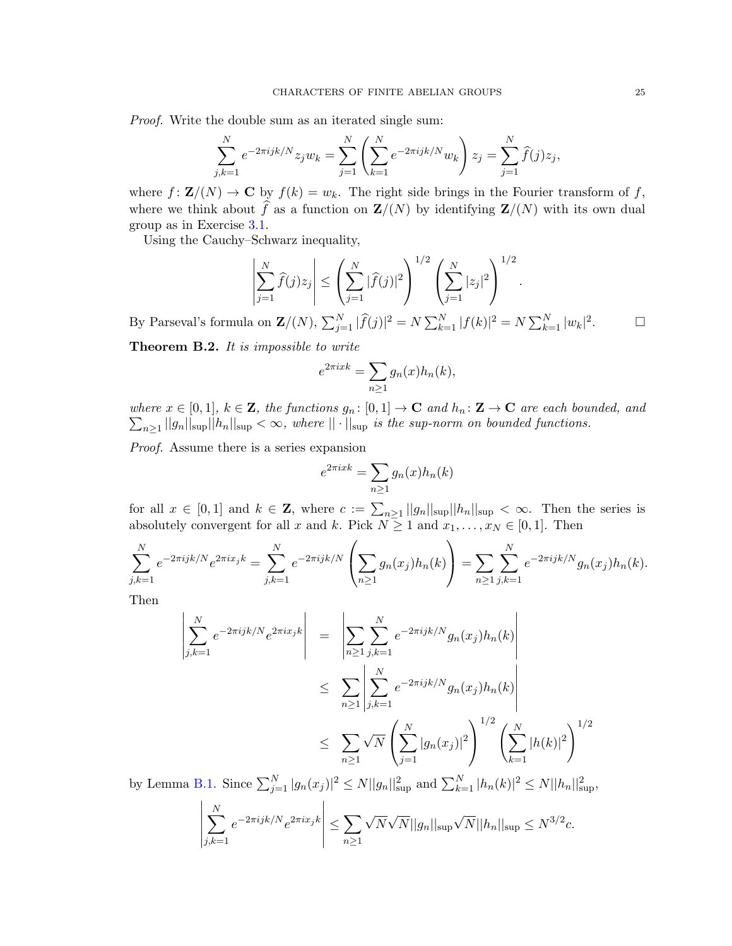Proof. Write the double sum as an iterated single sum:

$$
\sum_{j,k=1}^{N} e^{-2\pi i j k/N} z_j w_k = \sum_{j=1}^{N} \left( \sum_{k=1}^{N} e^{-2\pi i j k/N} w_k \right) z_j = \sum_{j=1}^{N} \widehat{f}(j) z_j,
$$

where  $f: \mathbf{Z}/(N) \to \mathbf{C}$  by  $f(k) = w_k$ . The right side brings in the Fourier transform of f, where we think about  $\widehat{f}$  as a function on  $\mathbf{Z}/(N)$  by identifying  $\mathbf{Z}/(N)$  with its own dual group as in Exercise [3.1.](#page-10-0)

Using the Cauchy–Schwarz inequality,

$$
\left| \sum_{j=1}^{N} \hat{f}(j) z_j \right| \leq \left( \sum_{j=1}^{N} |\hat{f}(j)|^2 \right)^{1/2} \left( \sum_{j=1}^{N} |z_j|^2 \right)^{1/2}.
$$

By Parseval's formula on  $\mathbf{Z}/(N)$ ,  $\sum_{j=1}^{N} |\widehat{f}(j)|^2 = N \sum_{k=1}^{N} |f(k)|^2 = N \sum_{k=1}^{N} |w_k|^2$  $\sqcup$ 

Theorem B.2. It is impossible to write

$$
e^{2\pi i x k} = \sum_{n\geq 1} g_n(x) h_n(k),
$$

 $\sum_{n\geq 1} ||g_n||_{\rm sup} ||h_n||_{\rm sup} < \infty$ , where  $||\cdot||_{\rm sup}$  is the sup-norm on bounded functions. where  $x \in [0,1], k \in \mathbb{Z}$ , the functions  $g_n : [0,1] \to \mathbb{C}$  and  $h_n : \mathbb{Z} \to \mathbb{C}$  are each bounded, and

Proof. Assume there is a series expansion

$$
e^{2\pi i x k} = \sum_{n\geq 1} g_n(x) h_n(k)
$$

for all  $x \in [0,1]$  and  $k \in \mathbb{Z}$ , where  $c := \sum_{n\geq 1} ||g_n||_{\sup} ||h_n||_{\sup} < \infty$ . Then the series is absolutely convergent for all x and k. Pick  $N \geq 1$  and  $x_1, \ldots, x_N \in [0, 1]$ . Then

$$
\sum_{j,k=1}^{N} e^{-2\pi i jk/N} e^{2\pi i x_j k} = \sum_{j,k=1}^{N} e^{-2\pi i jk/N} \left( \sum_{n\geq 1} g_n(x_j) h_n(k) \right) = \sum_{n\geq 1} \sum_{j,k=1}^{N} e^{-2\pi i jk/N} g_n(x_j) h_n(k).
$$

Then

$$
\left| \sum_{j,k=1}^{N} e^{-2\pi i jk/N} e^{2\pi i x_j k} \right| = \left| \sum_{n\geq 1} \sum_{j,k=1}^{N} e^{-2\pi i jk/N} g_n(x_j) h_n(k) \right|
$$
  

$$
\leq \sum_{n\geq 1} \left| \sum_{j,k=1}^{N} e^{-2\pi i jk/N} g_n(x_j) h_n(k) \right|
$$
  

$$
\leq \sum_{n\geq 1} \sqrt{N} \left( \sum_{j=1}^{N} |g_n(x_j)|^2 \right)^{1/2} \left( \sum_{k=1}^{N} |h(k)|^2 \right)^{1/2}
$$

by Lemma [B.1.](#page-23-2) Since  $\sum_{j=1}^{N} |g_n(x_j)|^2 \le N ||g_n||_{\text{sup}}^2$  and  $\sum_{k=1}^{N} |h_n(k)|^2 \le N ||h_n||_{\text{sup}}^2$ ,

$$
\left| \sum_{j,k=1}^{N} e^{-2\pi i jk/N} e^{2\pi i x_j k} \right| \leq \sum_{n\geq 1} \sqrt{N} \sqrt{N} ||g_n||_{\sup} \sqrt{N} ||h_n||_{\sup} \leq N^{3/2} c.
$$